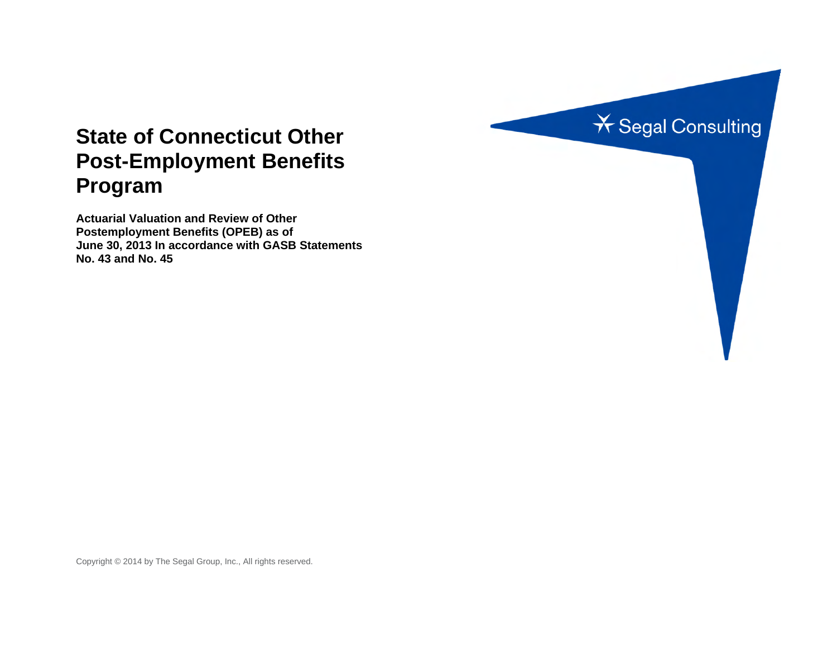

# **State of Connecticut Other Post-Employment Benefits Program**

**Actuarial Valuation and Review of Other Postemployment Benefits (OPEB) as of June 30, 2013 In accordance with GASB Statements No. 43 and No. 45** 

Copyright © 2014 by The Segal Group, Inc., All rights reserved.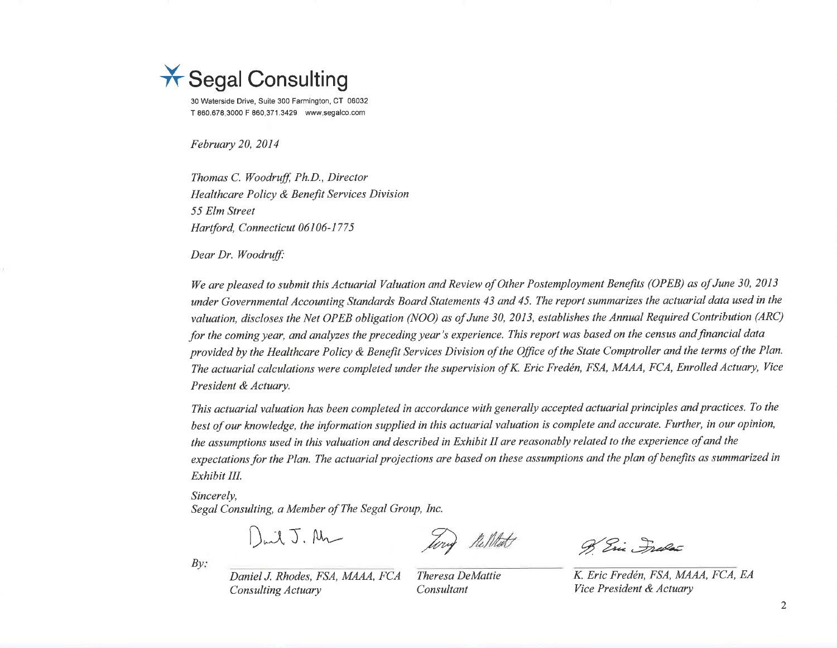

30 Waterside Drive, Suite 300 Farmington, CT 06032 T 860.678.3000 F 860.371.3429 www.segalco.com

February 20, 2014

Thomas C. Woodruff, Ph.D., Director Healthcare Policy & Benefit Services Division 55 Elm Street Hartford, Connecticut 06106-1775

Dear Dr. Woodruff:

We are pleased to submit this Actuarial Valuation and Review of Other Postemployment Benefits (OPEB) as of June 30, 2013 under Governmental Accounting Standards Board Statements 43 and 45. The report summarizes the actuarial data used in the valuation, discloses the Net OPEB obligation (NOO) as of June 30, 2013, establishes the Annual Required Contribution (ARC) for the coming year, and analyzes the preceding year's experience. This report was based on the census and financial data provided by the Healthcare Policy & Benefit Services Division of the Office of the State Comptroller and the terms of the Plan. The actuarial calculations were completed under the supervision of K. Eric Fredén, FSA, MAAA, FCA, Enrolled Actuary, Vice President & Actuary.

This actuarial valuation has been completed in accordance with generally accepted actuarial principles and practices. To the best of our knowledge, the information supplied in this actuarial valuation is complete and accurate. Further, in our opinion, the assumptions used in this valuation and described in Exhibit II are reasonably related to the experience of and the expectations for the Plan. The actuarial projections are based on these assumptions and the plan of benefits as summarized in Exhibit III.

Sincerely.

Segal Consulting, a Member of The Segal Group, Inc.

 $\int_{\omega}$ il J. An

B Eric, Index

K. Eric Fredén, FSA, MAAA, FCA, EA Vice President & Actuary

 $Bv$ :

Daniel J. Rhodes, FSA, MAAA, FCA **Consulting Actuary** 

Theresa DeMattie Consultant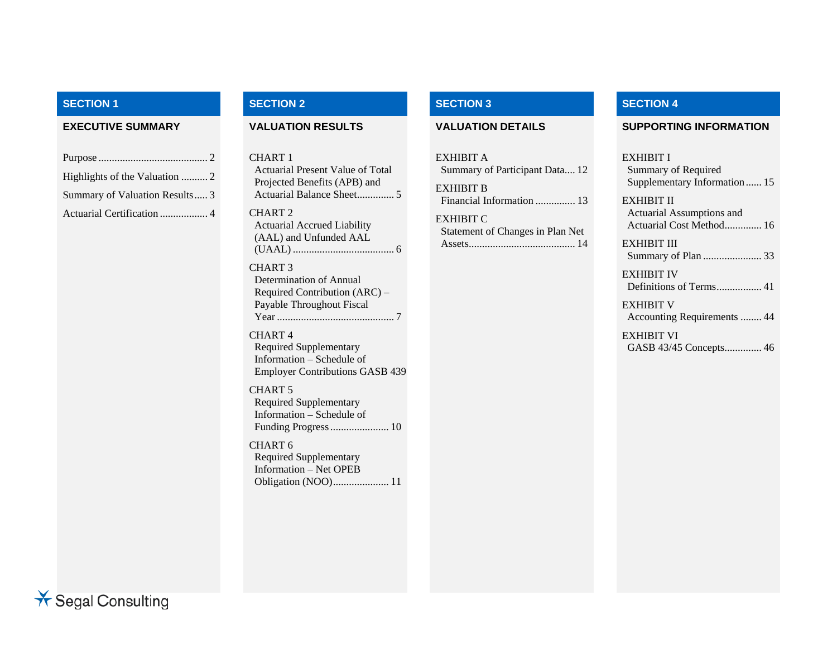### **SECTION 1**

| Summary of Valuation Results  3 |
|---------------------------------|
| Actuarial Certification  4      |

#### **SECTION 2 SECTION 3 SECTION 4**

CHART 1Actuarial Present Value of Total Projected Benefits (APB) and Actuarial Balance Sheet .............. 5CHART 2Actuarial Accrued Liability (AAL) and Unfunded AAL

(UAAL) ...................................... 6 CHART 3Determination of Annual Required Contribution (ARC) – Payable Throughout Fiscal Year ............................................ 7

#### CHART 4Required Supplementary Information – Schedule of Employer Contributions GASB 439

CHART 5

Required Supplementary Information – Schedule of Funding Progress ...................... 10

CHART 6Required Supplementary Information – Net OPEB Obligation (NOO) ..................... 11

EXHIBIT ASummary of Participant Data.... 12 EXHIBIT BFinancial Information ............... 13EXHIBIT C

Statement of Changes in Plan Net Assets ........................................ 14

#### **EXECUTIVE SUMMARY VALUATION RESULTS VALUATION DETAILS SUPPORTING INFORMATION**

#### EXHIBIT I

Summary of Required Supplementary Information ...... 15

EXHIBIT IIActuarial Assumptions and Actuarial Cost Method.............. 16

EXHIBIT IIISummary of Plan ...................... 33

EXHIBIT IVDefinitions of Terms ................. 41

EXHIBIT VAccounting Requirements ........ 44

EXHIBIT VIGASB 43/45 Concepts .............. 46

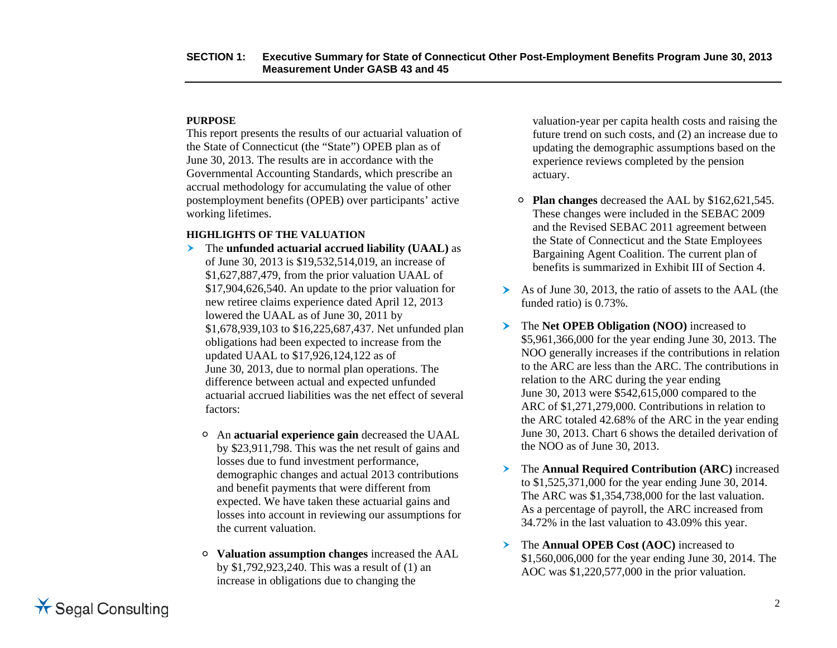#### **PURPOSE**

This report presents the results of our actuarial valuation of the State of Connecticut (the "State") OPEB plan as of June 30, 2013. The results are in accordance with the Governmental Accounting Standards, which prescribe an accrual methodology for accumulating the value of other postemployment benefits (OPEB) over participants' active working lifetimes.

#### **HIGHLIGHTS OF THE VALUATION**

- The **unfunded actuarial accrued liability (UAAL)** as of June 30, 2013 is \$19,532,514,019, an increase of \$1,627,887,479, from the prior valuation UAAL of \$17,904,626,540. An update to the prior valuation for new retiree claims experience dated April 12, 2013 lowered the UAAL as of June 30, 2011 by \$1,678,939,103 to \$16,225,687,437. Net unfunded plan obligations had been expected to increase from the updated UAAL to \$17,926,124,122 as of June 30, 2013, due to normal plan operations. The difference between actual and expected unfunded actuarial accrued liabilities was the net effect of several factors:
	- An **actuarial experience gain** decreased the UAAL by \$23,911,798. This was the net result of gains and losses due to fund investment performance, demographic changes and actual 2013 contributions and benefit payments that were different from expected. We have taken these actuarial gains and losses into account in reviewing our assumptions for the current valuation.
	- **Valuation assumption changes** increased the AAL by \$1,792,923,240. This was a result of (1) an increase in obligations due to changing the

valuation-year per capita health costs and raising the future trend on such costs, and (2) an increase due to updating the demographic assumptions based on the experience reviews completed by the pension actuary.

- **Plan changes** decreased the AAL by \$162,621,545. These changes were included in the SEBAC 2009 and the Revised SEBAC 2011 agreement between the State of Connecticut and the State Employees Bargaining Agent Coalition. The current plan of benefits is summarized in Exhibit III of Section 4.
- As of June 30, 2013, the ratio of assets to the AAL (the funded ratio) is 0.73%.
- ≻ The **Net OPEB Obligation (NOO)** increased to \$5,961,366,000 for the year ending June 30, 2013. The NOO generally increases if the contributions in relation to the ARC are less than the ARC. The contributions in relation to the ARC during the year ending June 30, 2013 were \$542,615,000 compared to the ARC of \$1,271,279,000. Contributions in relation to the ARC totaled 42.68% of the ARC in the year ending June 30, 2013. Chart 6 shows the detailed derivation of the NOO as of June 30, 2013.
- $\blacktriangleright$  The **Annual Required Contribution (ARC)** increased to \$1,525,371,000 for the year ending June 30, 2014. The ARC was \$1,354,738,000 for the last valuation. As a percentage of payroll, the ARC increased from 34.72% in the last valuation to 43.09% this year.
- $\blacktriangleright$  The **Annual OPEB Cost (AOC)** increased to \$1,560,006,000 for the year ending June 30, 2014. The AOC was \$1,220,577,000 in the prior valuation.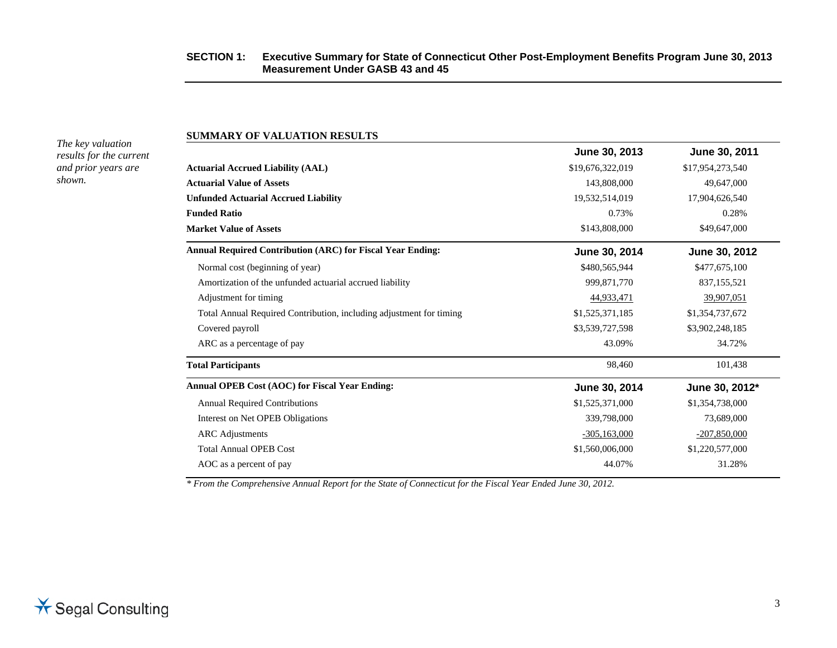#### **SECTION 1: Executive Summary for State of Connecticut Other Post-Employment Benefits Program June 30, 2013 Measurement Under GASB 43 and 45**

*The key valuation results for the current and prior years are shown.* 

**SUMMARY OF VALUATION RESULTS** 

|                                                                     | June 30, 2013    | June 30, 2011    |
|---------------------------------------------------------------------|------------------|------------------|
| <b>Actuarial Accrued Liability (AAL)</b>                            | \$19,676,322,019 | \$17,954,273,540 |
| <b>Actuarial Value of Assets</b>                                    | 143,808,000      | 49,647,000       |
| <b>Unfunded Actuarial Accrued Liability</b>                         | 19,532,514,019   | 17,904,626,540   |
| <b>Funded Ratio</b>                                                 | 0.73%            | 0.28%            |
| <b>Market Value of Assets</b>                                       | \$143,808,000    | \$49,647,000     |
| <b>Annual Required Contribution (ARC) for Fiscal Year Ending:</b>   | June 30, 2014    | June 30, 2012    |
| Normal cost (beginning of year)                                     | \$480,565,944    | \$477,675,100    |
| Amortization of the unfunded actuarial accrued liability            | 999,871,770      | 837, 155, 521    |
| Adjustment for timing                                               | 44,933,471       | 39,907,051       |
| Total Annual Required Contribution, including adjustment for timing | \$1,525,371,185  | \$1,354,737,672  |
| Covered payroll                                                     | \$3,539,727,598  | \$3,902,248,185  |
| ARC as a percentage of pay                                          | 43.09%           | 34.72%           |
| <b>Total Participants</b>                                           | 98,460           | 101,438          |
| Annual OPEB Cost (AOC) for Fiscal Year Ending:                      | June 30, 2014    | June 30, 2012*   |
| <b>Annual Required Contributions</b>                                | \$1,525,371,000  | \$1,354,738,000  |
| Interest on Net OPEB Obligations                                    | 339,798,000      | 73,689,000       |
| <b>ARC</b> Adjustments                                              | $-305,163,000$   | $-207,850,000$   |
| <b>Total Annual OPEB Cost</b>                                       | \$1,560,006,000  | \$1,220,577,000  |

AOC as a percent of pay  $44.07\%$  31.28%

*\* From the Comprehensive Annual Report for the State of Connecticut for the Fiscal Year Ended June 30, 2012.*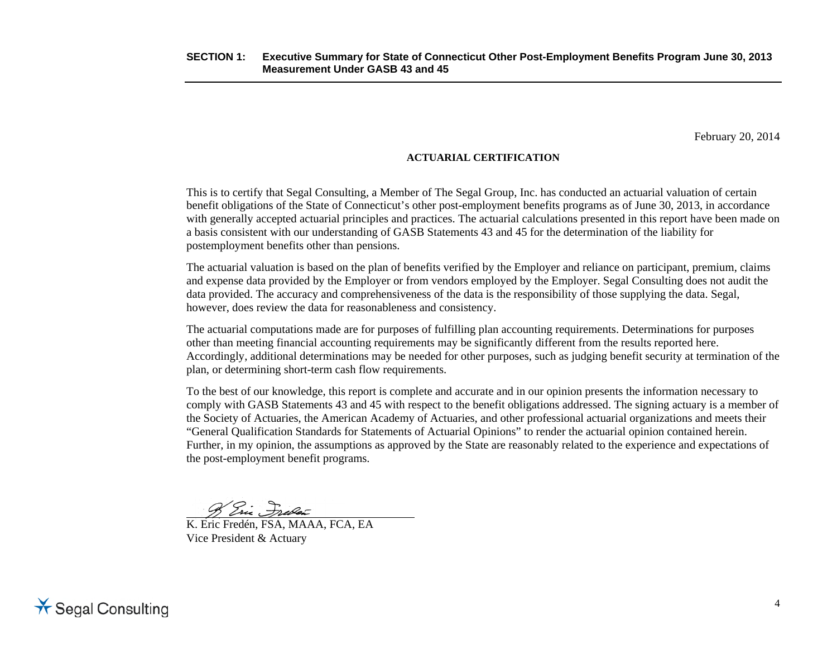February 20, 2014

#### **ACTUARIAL CERTIFICATION**

This is to certify that Segal Consulting, a Member of The Segal Group, Inc. has conducted an actuarial valuation of certain benefit obligations of the State of Connecticut's other post-employment benefits programs as of June 30, 2013, in accordance with generally accepted actuarial principles and practices. The actuarial calculations presented in this report have been made on a basis consistent with our understanding of GASB Statements 43 and 45 for the determination of the liability for postemployment benefits other than pensions.

The actuarial valuation is based on the plan of benefits verified by the Employer and reliance on participant, premium, claims and expense data provided by the Employer or from vendors employed by the Employer. Segal Consulting does not audit the data provided. The accuracy and comprehensiveness of the data is the responsibility of those supplying the data. Segal, however, does review the data for reasonableness and consistency.

The actuarial computations made are for purposes of fulfilling plan accounting requirements. Determinations for purposes other than meeting financial accounting requirements may be significantly different from the results reported here. Accordingly, additional determinations may be needed for other purposes, such as judging benefit security at termination of the plan, or determining short-term cash flow requirements.

To the best of our knowledge, this report is complete and accurate and in our opinion presents the information necessary to comply with GASB Statements 43 and 45 with respect to the benefit obligations addressed. The signing actuary is a member of the Society of Actuaries, the American Academy of Actuaries, and other professional actuarial organizations and meets their "General Qualification Standards for Statements of Actuarial Opinions" to render the actuarial opinion contained herein. Further, in my opinion, the assumptions as approved by the State are reasonably related to the experience and expectations of the post-employment benefit programs.

8 Ein Freder

K. Eric Fredén, FSA, MAAA, FCA, EA Vice President & Actuary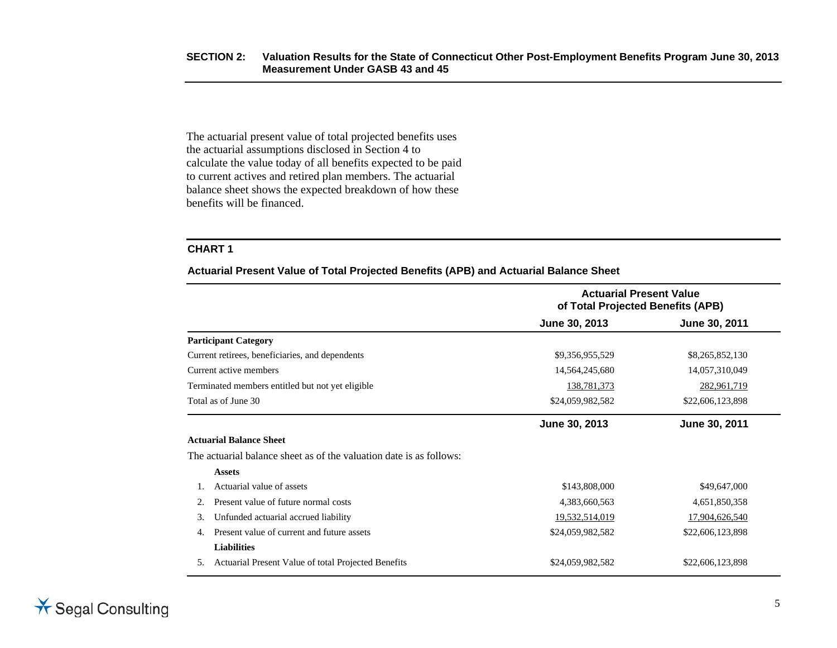The actuarial present value of total projected benefits uses the actuarial assumptions disclosed in Section 4 to calculate the value today of all benefits expected to be paid to current actives and retired plan members. The actuarial balance sheet shows the expected breakdown of how these benefits will be financed.

#### **CHART 1**

**Actuarial Present Value of Total Projected Benefits (APB) and Actuarial Balance Sheet** 

|    |                                                                     | <b>Actuarial Present Value</b><br>of Total Projected Benefits (APB) |                  |  |
|----|---------------------------------------------------------------------|---------------------------------------------------------------------|------------------|--|
|    |                                                                     | June 30, 2013                                                       | June 30, 2011    |  |
|    | <b>Participant Category</b>                                         |                                                                     |                  |  |
|    | Current retirees, beneficiaries, and dependents                     | \$9,356,955,529                                                     | \$8,265,852,130  |  |
|    | Current active members                                              | 14,564,245,680                                                      | 14,057,310,049   |  |
|    | Terminated members entitled but not yet eligible                    | 138,781,373                                                         | 282,961,719      |  |
|    | Total as of June 30                                                 | \$24,059,982,582                                                    | \$22,606,123,898 |  |
|    |                                                                     | June 30, 2013                                                       | June 30, 2011    |  |
|    | <b>Actuarial Balance Sheet</b>                                      |                                                                     |                  |  |
|    | The actuarial balance sheet as of the valuation date is as follows: |                                                                     |                  |  |
|    | <b>Assets</b>                                                       |                                                                     |                  |  |
|    | Actuarial value of assets                                           | \$143,808,000                                                       | \$49,647,000     |  |
|    | Present value of future normal costs                                | 4,383,660,563                                                       | 4,651,850,358    |  |
| 3. | Unfunded actuarial accrued liability                                | 19,532,514,019                                                      | 17,904,626,540   |  |
| 4. | Present value of current and future assets                          | \$24,059,982,582                                                    | \$22,606,123,898 |  |
|    | <b>Liabilities</b>                                                  |                                                                     |                  |  |
| 5. | Actuarial Present Value of total Projected Benefits                 | \$24,059,982,582                                                    | \$22,606,123,898 |  |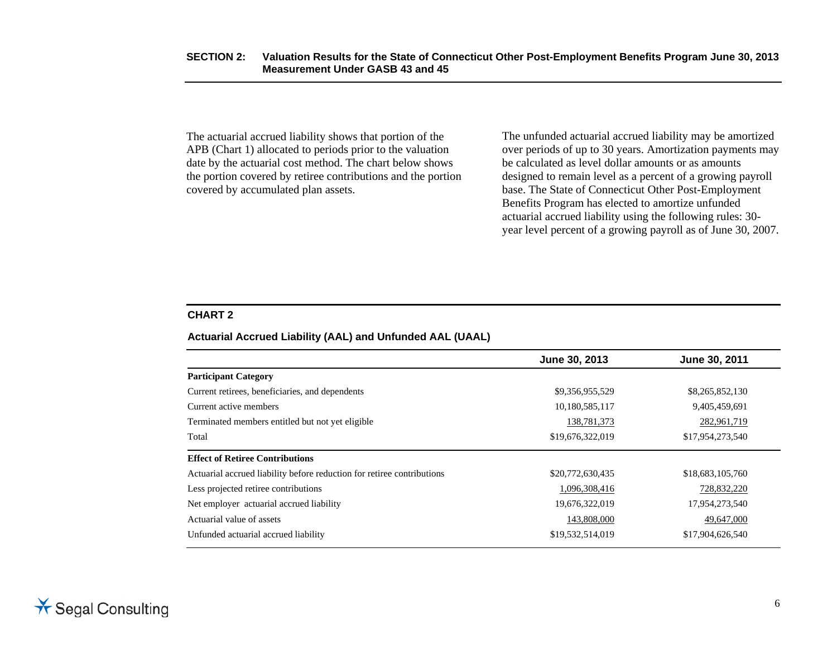The actuarial accrued liability shows that portion of the APB (Chart 1) allocated to periods prior to the valuation date by the actuarial cost method. The chart below shows the portion covered by retiree contributions and the portion covered by accumulated plan assets.

The unfunded actuarial accrued liability may be amortized over periods of up to 30 years. Amortization payments may be calculated as level dollar amounts or as amounts designed to remain level as a percent of a growing payroll base. The State of Connecticut Other Post-Employment Benefits Program has elected to amortize unfunded actuarial accrued liability using the following rules: 30 year level percent of a growing payroll as of June 30, 2007.

#### **CHART 2**

#### **Actuarial Accrued Liability (AAL) and Unfunded AAL (UAAL)**

|                                                                        | June 30, 2013    | June 30, 2011    |
|------------------------------------------------------------------------|------------------|------------------|
| <b>Participant Category</b>                                            |                  |                  |
| Current retirees, beneficiaries, and dependents                        | \$9,356,955,529  | \$8,265,852,130  |
| Current active members                                                 | 10,180,585,117   | 9,405,459,691    |
| Terminated members entitled but not yet eligible                       | 138,781,373      | 282,961,719      |
| Total                                                                  | \$19,676,322,019 | \$17,954,273,540 |
| <b>Effect of Retiree Contributions</b>                                 |                  |                  |
| Actuarial accrued liability before reduction for retiree contributions | \$20,772,630,435 | \$18,683,105,760 |
| Less projected retiree contributions                                   | 1,096,308,416    | 728,832,220      |
| Net employer actuarial accrued liability                               | 19,676,322,019   | 17,954,273,540   |
| Actuarial value of assets                                              | 143,808,000      | 49,647,000       |
| Unfunded actuarial accrued liability                                   | \$19,532,514,019 | \$17,904,626,540 |
|                                                                        |                  |                  |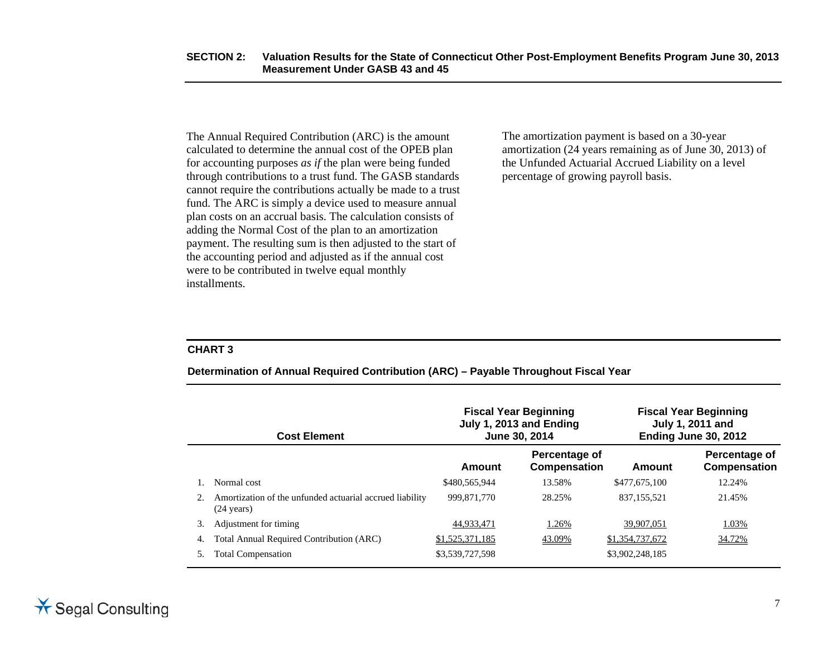The Annual Required Contribution (ARC) is the amount calculated to determine the annual cost of the OPEB plan for accounting purposes *as if* the plan were being funded through contributions to a trust fund. The GASB standards cannot require the contributions actually be made to a trust fund. The ARC is simply a device used to measure annual plan costs on an accrual basis. The calculation consists of adding the Normal Cost of the plan to an amortization payment. The resulting sum is then adjusted to the start of the accounting period and adjusted as if the annual cost were to be contributed in twelve equal monthly installments.

The amortization payment is based on a 30-year amortization (24 years remaining as of June 30, 2013) of the Unfunded Actuarial Accrued Liability on a level percentage of growing payroll basis.

#### **CHART 3**

| Determination of Annual Required Contribution (ARC) - Payable Throughout Fiscal Year |  |  |  |
|--------------------------------------------------------------------------------------|--|--|--|
|                                                                                      |  |  |  |

|    | <b>Cost Element</b>                                                              | <b>Fiscal Year Beginning</b><br>July 1, 2013 and Ending<br>June 30, 2014 |                               |                 | <b>Fiscal Year Beginning</b><br>July 1, 2011 and<br>Ending June 30, 2012 |  |
|----|----------------------------------------------------------------------------------|--------------------------------------------------------------------------|-------------------------------|-----------------|--------------------------------------------------------------------------|--|
|    |                                                                                  | Amount                                                                   | Percentage of<br>Compensation | Amount          | Percentage of<br>Compensation                                            |  |
|    | Normal cost                                                                      | \$480,565,944                                                            | 13.58%                        | \$477,675,100   | 12.24%                                                                   |  |
| 2. | Amortization of the unfunded actuarial accrued liability<br>$(24 \text{ years})$ | 999.871.770                                                              | 28.25%                        | 837, 155, 521   | 21.45%                                                                   |  |
| 3. | Adjustment for timing                                                            | 44,933,471                                                               | 1.26%                         | 39,907,051      | 1.03%                                                                    |  |
| 4. | Total Annual Required Contribution (ARC)                                         | \$1,525,371,185                                                          | 43.09%                        | \$1,354,737,672 | 34.72%                                                                   |  |
|    | <b>Total Compensation</b>                                                        | \$3,539,727,598                                                          |                               | \$3,902,248,185 |                                                                          |  |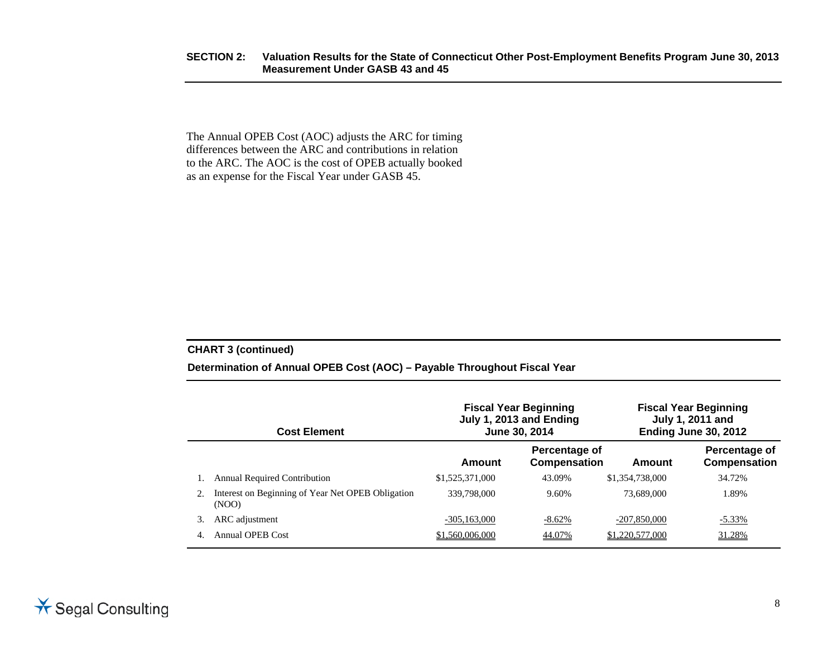#### **SECTION 2: Valuation Results for the State of Connecticut Other Post-Employment Benefits Program June 30, 2013 Measurement Under GASB 43 and 45**

The Annual OPEB Cost (AOC) adjusts the ARC for timing differences between the ARC and contributions in relation to the ARC. The AOC is the cost of OPEB actually booked as an expense for the Fiscal Year under GASB 45.

#### **CHART 3 (continued)**

#### **Determination of Annual OPEB Cost (AOC) – Payable Throughout Fiscal Year**

| <b>Cost Element</b> |                                                            |                 | <b>Fiscal Year Beginning</b><br>July 1, 2013 and Ending<br>June 30, 2014 |                 | <b>Fiscal Year Beginning</b><br>July 1, 2011 and<br>Ending June 30, 2012 |
|---------------------|------------------------------------------------------------|-----------------|--------------------------------------------------------------------------|-----------------|--------------------------------------------------------------------------|
|                     |                                                            | Amount          | Percentage of<br>Compensation                                            | Amount          | Percentage of<br>Compensation                                            |
|                     | <b>Annual Required Contribution</b>                        | \$1,525,371,000 | 43.09%                                                                   | \$1,354,738,000 | 34.72%                                                                   |
|                     | Interest on Beginning of Year Net OPEB Obligation<br>(NOO) | 339,798,000     | 9.60%                                                                    | 73,689,000      | 1.89%                                                                    |
|                     | ARC adjustment                                             | $-305.163,000$  | -8.62%                                                                   | $-207,850,000$  | $-5.33\%$                                                                |
| 4.                  | <b>Annual OPEB Cost</b>                                    | \$1,560,006,000 | 44.07%                                                                   | \$1,220,577,000 | 31.28%                                                                   |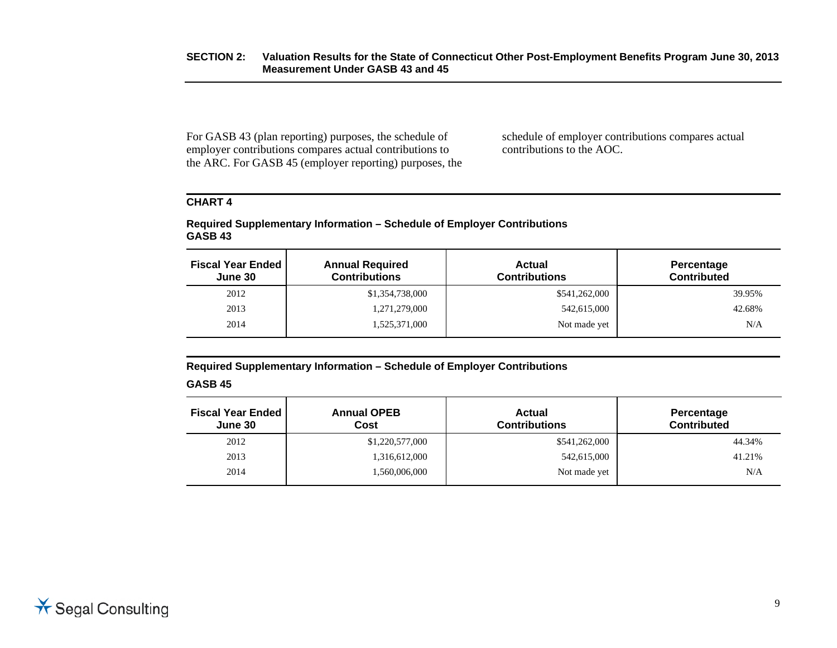For GASB 43 (plan reporting) purposes, the schedule of employer contributions compares actual contributions to the ARC. For GASB 45 (employer reporting) purposes, the schedule of employer contributions compares actual contributions to the AOC.

### **CHART 4**

#### **Required Supplementary Information – Schedule of Employer Contributions GASB 43**

| <b>Fiscal Year Ended</b><br>June 30 | <b>Annual Required</b><br><b>Contributions</b> | <b>Actual</b><br><b>Contributions</b> | Percentage<br><b>Contributed</b> |
|-------------------------------------|------------------------------------------------|---------------------------------------|----------------------------------|
| 2012                                | \$1,354,738,000                                | \$541,262,000                         | 39.95%                           |
| 2013                                | 1,271,279,000                                  | 542,615,000                           | 42.68%                           |
| 2014                                | 1,525,371,000                                  | Not made yet                          | N/A                              |

**Required Supplementary Information – Schedule of Employer Contributions** 

#### **GASB 45**

| <b>Fiscal Year Ended</b><br>June 30 | <b>Annual OPEB</b><br>Cost | <b>Actual</b><br><b>Contributions</b> | Percentage<br><b>Contributed</b> |
|-------------------------------------|----------------------------|---------------------------------------|----------------------------------|
| 2012                                | \$1,220,577,000            | \$541,262,000                         | 44.34%                           |
| 2013                                | 1,316,612,000              | 542,615,000                           | 41.21%                           |
| 2014                                | 1,560,006,000              | Not made yet                          | N/A                              |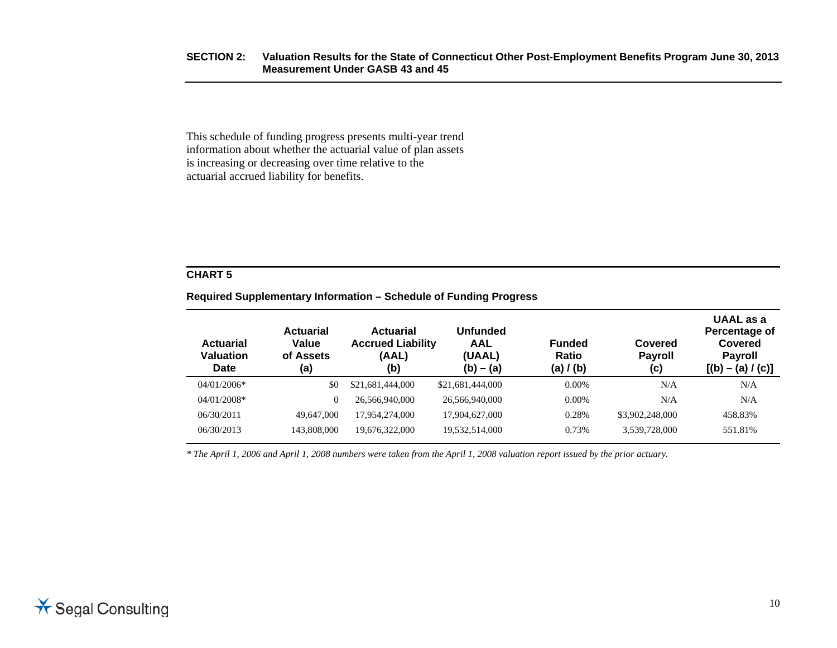#### **SECTION 2: Valuation Results for the State of Connecticut Other Post-Employment Benefits Program June 30, 2013 Measurement Under GASB 43 and 45**

This schedule of funding progress presents multi-year trend information about whether the actuarial value of plan assets is increasing or decreasing over time relative to the actuarial accrued liability for benefits.

#### **CHART 5**

#### **Required Supplementary Information – Schedule of Funding Progress**

| <b>Actuarial</b><br><b>Valuation</b><br><b>Date</b> | <b>Actuarial</b><br>Value<br>of Assets<br>(a) | <b>Actuarial</b><br><b>Accrued Liability</b><br>(AAL)<br>(b) | Unfunded<br>AAL<br>(UAAL)<br>$(b) - (a)$ | <b>Funded</b><br><b>Ratio</b><br>(a) / (b) | Covered<br><b>Payroll</b><br>(c) | UAAL as a<br>Percentage of<br>Covered<br><b>Payroll</b><br>$[(b) - (a) / (c)]$ |
|-----------------------------------------------------|-----------------------------------------------|--------------------------------------------------------------|------------------------------------------|--------------------------------------------|----------------------------------|--------------------------------------------------------------------------------|
| $04/01/2006*$                                       | \$0                                           | \$21,681,444,000                                             | \$21,681,444,000                         | $0.00\%$                                   | N/A                              | N/A                                                                            |
| $04/01/2008*$                                       | 0                                             | 26,566,940,000                                               | 26,566,940,000                           | $0.00\%$                                   | N/A                              | N/A                                                                            |
| 06/30/2011                                          | 49,647,000                                    | 17.954.274.000                                               | 17,904,627,000                           | 0.28%                                      | \$3,902,248,000                  | 458.83%                                                                        |
| 06/30/2013                                          | 143,808,000                                   | 19,676,322,000                                               | 19,532,514,000                           | 0.73%                                      | 3,539,728,000                    | 551.81%                                                                        |

*\* The April 1, 2006 and April 1, 2008 numbers were taken from the April 1, 2008 valuation report issued by the prior actuary.*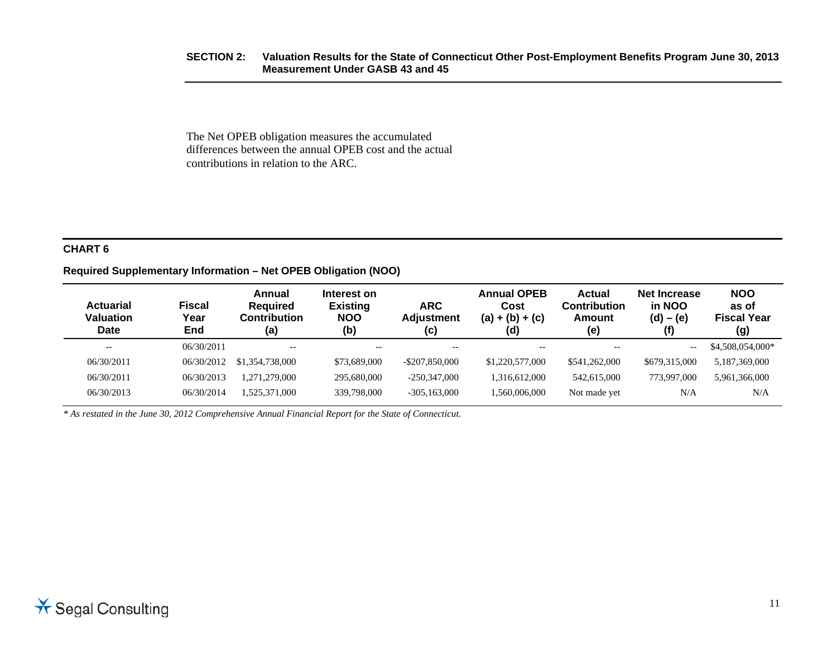#### **SECTION 2: Valuation Results for the State of Connecticut Other Post-Employment Benefits Program June 30, 2013 Measurement Under GASB 43 and 45**

The Net OPEB obligation measures the accumulated differences between the annual OPEB cost and the actual contributions in relation to the ARC.

#### **CHART 6**

#### **Required Supplementary Information – Net OPEB Obligation (NOO)**

| <b>Actuarial</b><br><b>Valuation</b><br><b>Date</b> | Fiscal<br>Year<br>End | Annual<br><b>Required</b><br><b>Contribution</b><br>(a) | Interest on<br><b>Existing</b><br><b>NOO</b><br>(b) | <b>ARC</b><br><b>Adjustment</b><br>(c) | <b>Annual OPEB</b><br>Cost<br>$(a) + (b) + (c)$<br>(d) | Actual<br><b>Contribution</b><br>Amount<br>(e) | <b>Net Increase</b><br>in NOO<br>$(d) - (e)$<br>(f) | <b>NOO</b><br>as of<br><b>Fiscal Year</b><br>(g) |
|-----------------------------------------------------|-----------------------|---------------------------------------------------------|-----------------------------------------------------|----------------------------------------|--------------------------------------------------------|------------------------------------------------|-----------------------------------------------------|--------------------------------------------------|
| $- -$                                               | 06/30/2011            | $-$                                                     | $- -$                                               | $- -$                                  | $- -$                                                  |                                                | $- -$                                               | \$4,508,054,000*                                 |
| 06/30/2011                                          | 06/30/2012            | \$1,354,738,000                                         | \$73,689,000                                        | $-$ \$207,850,000                      | \$1,220,577,000                                        | \$541,262,000                                  | \$679,315,000                                       | 5,187,369,000                                    |
| 06/30/2011                                          | 06/30/2013            | 1.271.279.000                                           | 295,680,000                                         | $-250.347.000$                         | 1.316.612.000                                          | 542,615,000                                    | 773,997,000                                         | 5,961,366,000                                    |
| 06/30/2013                                          | 06/30/2014            | 1.525.371.000                                           | 339,798,000                                         | $-305, 163, 000$                       | 1.560.006.000                                          | Not made yet                                   | N/A                                                 | N/A                                              |

*\* As restated in the June 30, 2012 Comprehensive Annual Financial Report for the State of Connecticut.*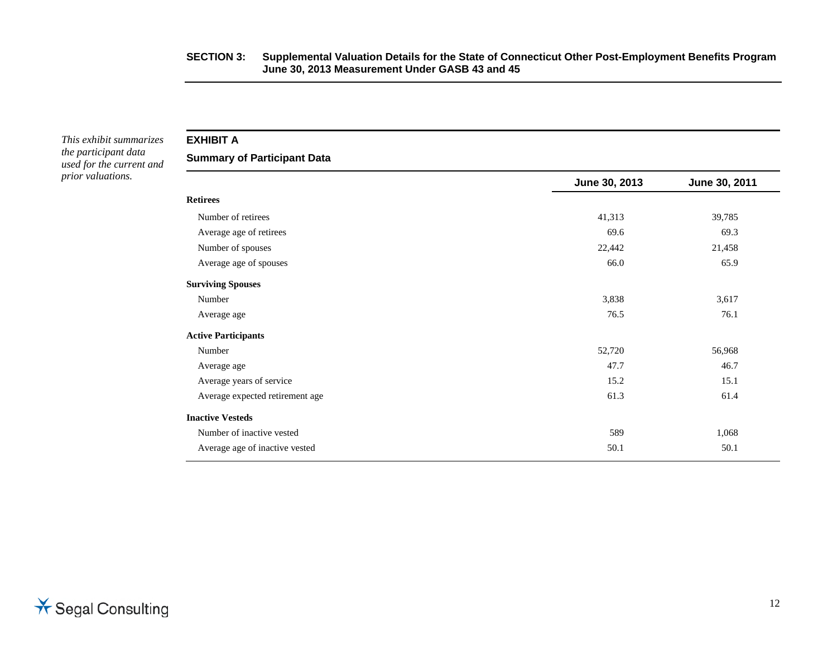#### **SECTION 3: Supplemental Valuation Details for the State of Connecticut Other Post-Employment Benefits Program June 30, 2013 Measurement Under GASB 43 and 45**

*This exhibit summarizes the participant data used for the current and prior valuations.* 

**EXHIBIT A** 

**Summary of Participant Data** 

|                                 | June 30, 2013 | June 30, 2011 |
|---------------------------------|---------------|---------------|
| <b>Retirees</b>                 |               |               |
| Number of retirees              | 41,313        | 39,785        |
| Average age of retirees         | 69.6          | 69.3          |
| Number of spouses               | 22,442        | 21,458        |
| Average age of spouses          | 66.0          | 65.9          |
| <b>Surviving Spouses</b>        |               |               |
| Number                          | 3,838         | 3,617         |
| Average age                     | 76.5          | 76.1          |
| <b>Active Participants</b>      |               |               |
| Number                          | 52,720        | 56,968        |
| Average age                     | 47.7          | 46.7          |
| Average years of service        | 15.2          | 15.1          |
| Average expected retirement age | 61.3          | 61.4          |
| <b>Inactive Vesteds</b>         |               |               |
| Number of inactive vested       | 589           | 1,068         |
| Average age of inactive vested  | 50.1          | 50.1          |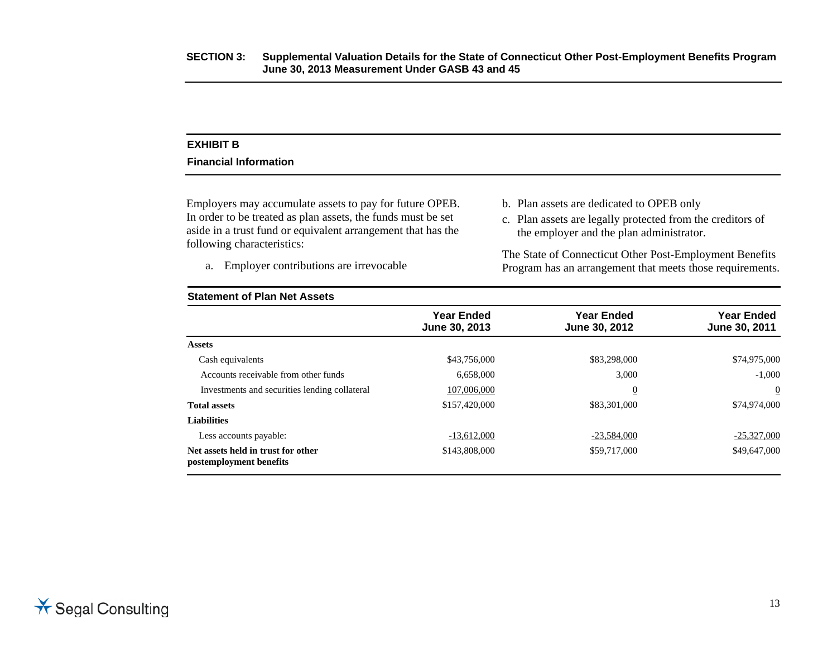#### **EXHIBIT B**

#### **Financial Information**

Employers may accumulate assets to pay for future OPEB. In order to be treated as plan assets, the funds must be set aside in a trust fund or equivalent arrangement that has the following characteristics:

a. Employer contributions are irrevocable

- b. Plan assets are dedicated to OPEB only
- c. Plan assets are legally protected from the creditors of the employer and the plan administrator.

The State of Connecticut Other Post-Employment Benefits Program has an arrangement that meets those requirements.

| <b>Statement of Plan Net Assets</b>                           |                                    |                                    |                                    |  |  |  |  |
|---------------------------------------------------------------|------------------------------------|------------------------------------|------------------------------------|--|--|--|--|
|                                                               | <b>Year Ended</b><br>June 30, 2013 | <b>Year Ended</b><br>June 30, 2012 | <b>Year Ended</b><br>June 30, 2011 |  |  |  |  |
| <b>Assets</b>                                                 |                                    |                                    |                                    |  |  |  |  |
| Cash equivalents                                              | \$43,756,000                       | \$83,298,000                       | \$74,975,000                       |  |  |  |  |
| Accounts receivable from other funds                          | 6,658,000                          | 3,000                              | $-1.000$                           |  |  |  |  |
| Investments and securities lending collateral                 | 107,006,000                        | $\overline{0}$                     | $\boldsymbol{0}$                   |  |  |  |  |
| <b>Total assets</b>                                           | \$157,420,000                      | \$83,301,000                       | \$74,974,000                       |  |  |  |  |
| <b>Liabilities</b>                                            |                                    |                                    |                                    |  |  |  |  |
| Less accounts payable:                                        | $-13,612,000$                      | $-23,584,000$                      | $-25,327,000$                      |  |  |  |  |
| Net assets held in trust for other<br>postemployment benefits | \$143,808,000                      | \$59,717,000                       | \$49,647,000                       |  |  |  |  |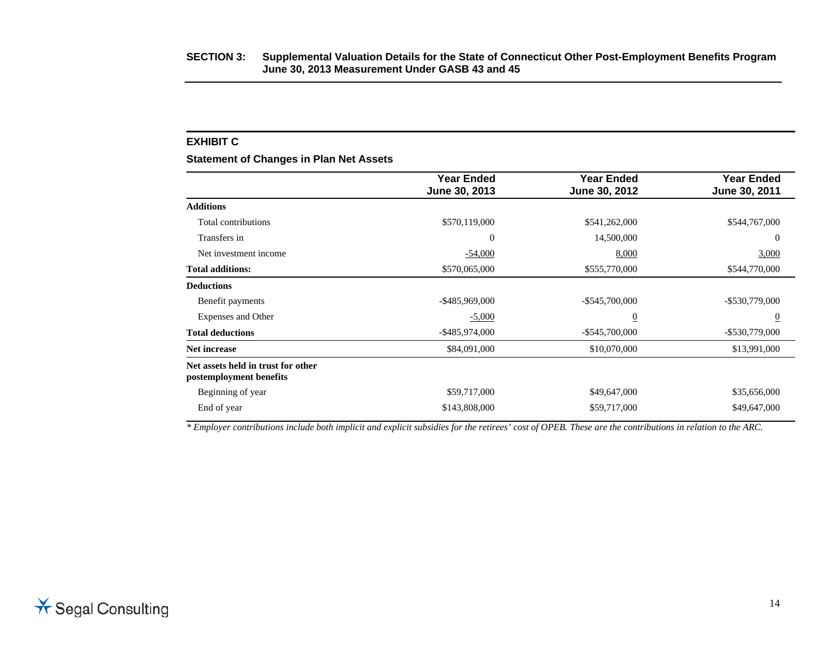#### **SECTION 3: Supplemental Valuation Details for the State of Connecticut Other Post-Employment Benefits Program June 30, 2013 Measurement Under GASB 43 and 45**

#### **EXHIBIT C**

**Statement of Changes in Plan Net Assets** 

|                                                               | <b>Year Ended</b><br>June 30, 2013 | <b>Year Ended</b><br>June 30, 2012 | <b>Year Ended</b><br>June 30, 2011 |
|---------------------------------------------------------------|------------------------------------|------------------------------------|------------------------------------|
| <b>Additions</b>                                              |                                    |                                    |                                    |
| Total contributions                                           | \$570,119,000                      | \$541,262,000                      | \$544,767,000                      |
| Transfers in                                                  | $\overline{0}$                     | 14,500,000                         | $\theta$                           |
| Net investment income                                         | $-54,000$                          | 8,000                              | 3,000                              |
| <b>Total additions:</b>                                       | \$570,065,000                      | \$555,770,000                      | \$544,770,000                      |
| <b>Deductions</b>                                             |                                    |                                    |                                    |
| Benefit payments                                              | $-$ \$485,969,000                  | $-$ \$545,700,000                  | $-$ \$530,779,000                  |
| Expenses and Other                                            | $-5,000$                           | $\overline{0}$                     | $\overline{0}$                     |
| <b>Total deductions</b>                                       | $-$ \$485,974,000                  | $-$ \$545,700,000                  | $-$ \$530,779,000                  |
| Net increase                                                  | \$84,091,000                       | \$10,070,000                       | \$13,991,000                       |
| Net assets held in trust for other<br>postemployment benefits |                                    |                                    |                                    |
| Beginning of year                                             | \$59,717,000                       | \$49,647,000                       | \$35,656,000                       |
| End of year                                                   | \$143,808,000                      | \$59,717,000                       | \$49,647,000                       |

*\* Employer contributions include both implicit and explicit subsidies for the retirees' cost of OPEB. These are the contributions in relation to the ARC.*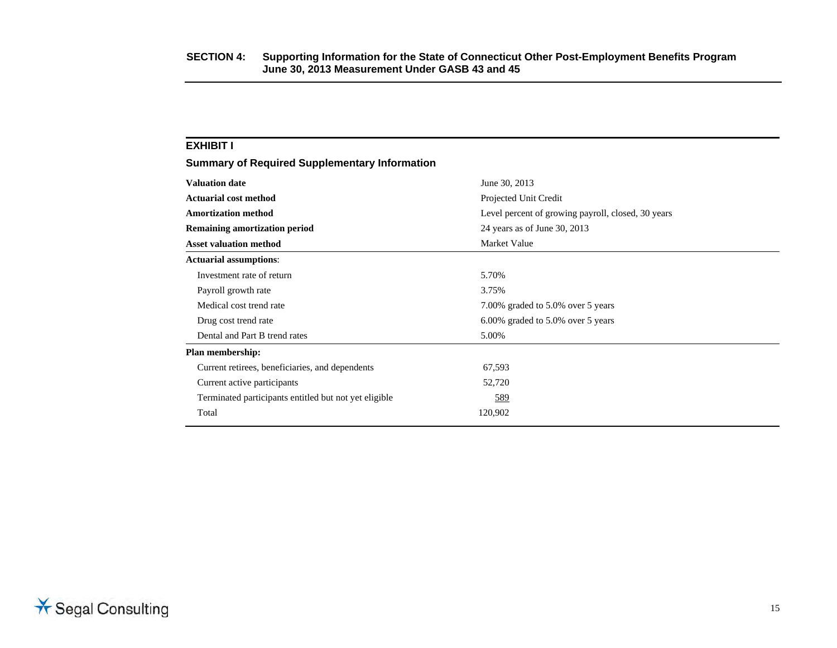| <b>EXHIBIT I</b>                                      |                                                    |
|-------------------------------------------------------|----------------------------------------------------|
| <b>Summary of Required Supplementary Information</b>  |                                                    |
| <b>Valuation date</b>                                 | June 30, 2013                                      |
| <b>Actuarial cost method</b>                          | Projected Unit Credit                              |
| <b>Amortization method</b>                            | Level percent of growing payroll, closed, 30 years |
| <b>Remaining amortization period</b>                  | 24 years as of June 30, 2013                       |
| <b>Asset valuation method</b>                         | Market Value                                       |
| <b>Actuarial assumptions:</b>                         |                                                    |
| Investment rate of return                             | 5.70%                                              |
| Payroll growth rate                                   | 3.75%                                              |
| Medical cost trend rate                               | 7.00% graded to 5.0% over 5 years                  |
| Drug cost trend rate                                  | 6.00% graded to 5.0% over 5 years                  |
| Dental and Part B trend rates                         | 5.00%                                              |
| Plan membership:                                      |                                                    |
| Current retirees, beneficiaries, and dependents       | 67,593                                             |
| Current active participants                           | 52,720                                             |
| Terminated participants entitled but not yet eligible | 589                                                |
| Total                                                 | 120,902                                            |
|                                                       |                                                    |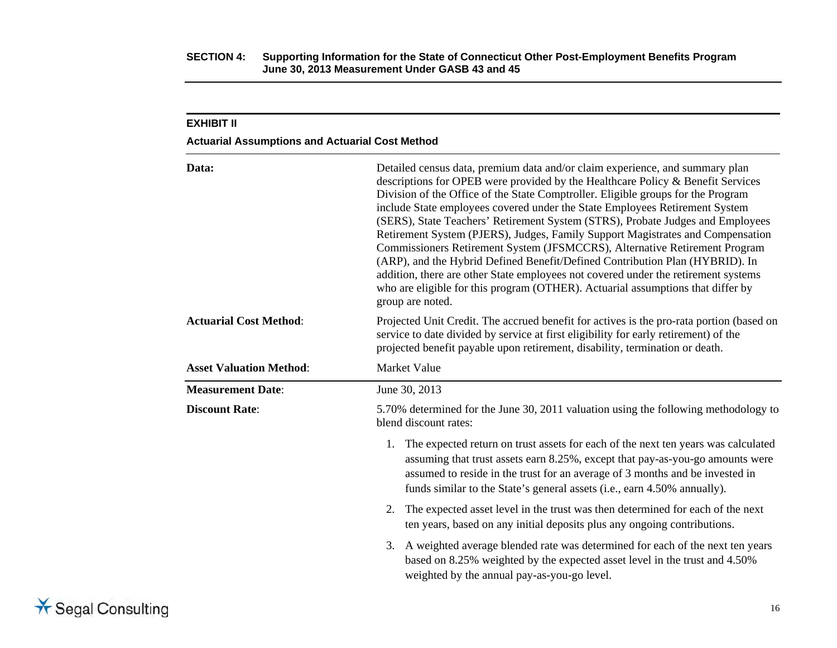#### **Actuarial Assumptions and Actuarial Cost Method**

| Data:                          | Detailed census data, premium data and/or claim experience, and summary plan<br>descriptions for OPEB were provided by the Healthcare Policy & Benefit Services<br>Division of the Office of the State Comptroller. Eligible groups for the Program<br>include State employees covered under the State Employees Retirement System<br>(SERS), State Teachers' Retirement System (STRS), Probate Judges and Employees<br>Retirement System (PJERS), Judges, Family Support Magistrates and Compensation<br>Commissioners Retirement System (JFSMCCRS), Alternative Retirement Program<br>(ARP), and the Hybrid Defined Benefit/Defined Contribution Plan (HYBRID). In<br>addition, there are other State employees not covered under the retirement systems<br>who are eligible for this program (OTHER). Actuarial assumptions that differ by<br>group are noted. |  |  |  |  |
|--------------------------------|-------------------------------------------------------------------------------------------------------------------------------------------------------------------------------------------------------------------------------------------------------------------------------------------------------------------------------------------------------------------------------------------------------------------------------------------------------------------------------------------------------------------------------------------------------------------------------------------------------------------------------------------------------------------------------------------------------------------------------------------------------------------------------------------------------------------------------------------------------------------|--|--|--|--|
| <b>Actuarial Cost Method:</b>  | Projected Unit Credit. The accrued benefit for actives is the pro-rata portion (based on<br>service to date divided by service at first eligibility for early retirement) of the<br>projected benefit payable upon retirement, disability, termination or death.                                                                                                                                                                                                                                                                                                                                                                                                                                                                                                                                                                                                  |  |  |  |  |
| <b>Asset Valuation Method:</b> | Market Value                                                                                                                                                                                                                                                                                                                                                                                                                                                                                                                                                                                                                                                                                                                                                                                                                                                      |  |  |  |  |
| <b>Measurement Date:</b>       | June 30, 2013                                                                                                                                                                                                                                                                                                                                                                                                                                                                                                                                                                                                                                                                                                                                                                                                                                                     |  |  |  |  |
| <b>Discount Rate:</b>          | 5.70% determined for the June 30, 2011 valuation using the following methodology to<br>blend discount rates:                                                                                                                                                                                                                                                                                                                                                                                                                                                                                                                                                                                                                                                                                                                                                      |  |  |  |  |
|                                | 1. The expected return on trust assets for each of the next ten years was calculated<br>assuming that trust assets earn 8.25%, except that pay-as-you-go amounts were<br>assumed to reside in the trust for an average of 3 months and be invested in<br>funds similar to the State's general assets (i.e., earn 4.50% annually).                                                                                                                                                                                                                                                                                                                                                                                                                                                                                                                                 |  |  |  |  |
|                                | 2. The expected asset level in the trust was then determined for each of the next<br>ten years, based on any initial deposits plus any ongoing contributions.                                                                                                                                                                                                                                                                                                                                                                                                                                                                                                                                                                                                                                                                                                     |  |  |  |  |
|                                | 3. A weighted average blended rate was determined for each of the next ten years<br>based on 8.25% weighted by the expected asset level in the trust and 4.50%<br>weighted by the annual pay-as-you-go level.                                                                                                                                                                                                                                                                                                                                                                                                                                                                                                                                                                                                                                                     |  |  |  |  |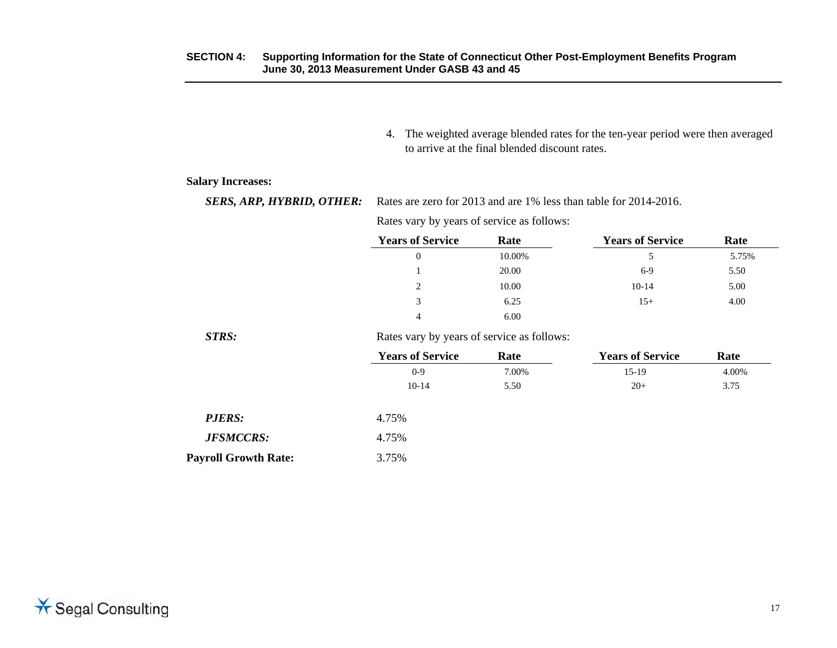4. The weighted average blended rates for the ten-year period were then averaged to arrive at the final blended discount rates.

**Salary Increases:** 

**SERS, ARP, HYBRID, OTHER:** Rates are zero for 2013 and are 1% less than table for 2014-2016.

Rates vary by years of service as follows:

| <b>Years of Service</b><br>Rate |        | <b>Years of Service</b> | Rate  |  |  |
|---------------------------------|--------|-------------------------|-------|--|--|
| 0                               | 10.00% | 5.                      | 5.75% |  |  |
|                                 | 20.00  | $6-9$                   | 5.50  |  |  |
| 2                               | 10.00  | $10-14$                 | 5.00  |  |  |
| 3                               | 6.25   | $15+$                   | 4.00  |  |  |
| $\overline{4}$                  | 6.00   |                         |       |  |  |

*STRS:*

Rates vary by years of service as follows:

|                             | <b>Years of Service</b> | Rate  | <b>Years of Service</b> | Rate  |
|-----------------------------|-------------------------|-------|-------------------------|-------|
|                             | $0-9$                   | 7.00% | $15-19$                 | 4.00% |
|                             | $10-14$                 | 5.50  | $20+$                   | 3.75  |
| <b>PJERS:</b>               | 4.75%                   |       |                         |       |
| <b>JFSMCCRS:</b>            | 4.75%                   |       |                         |       |
| <b>Payroll Growth Rate:</b> | 3.75%                   |       |                         |       |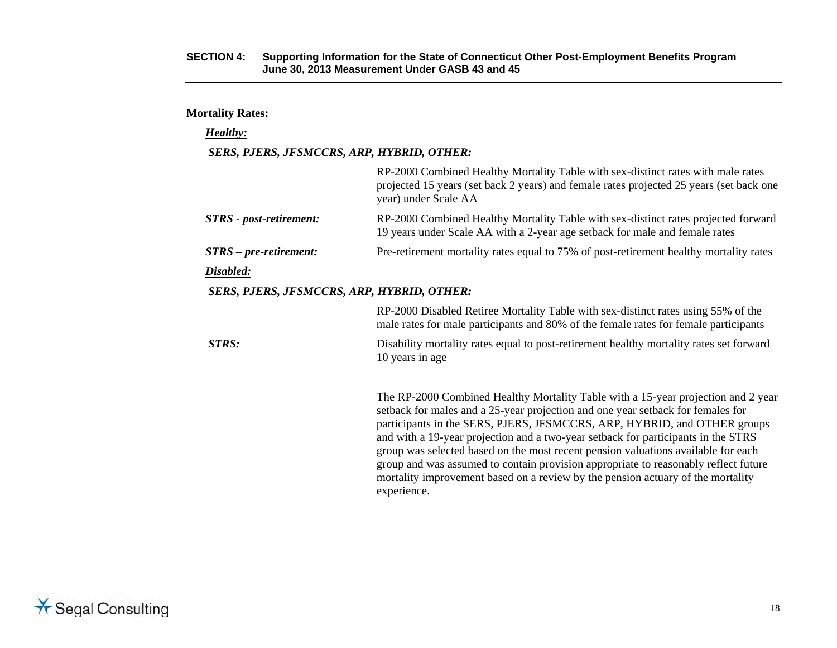#### **Mortality Rates:**

#### *Healthy:*

#### *SERS, PJERS, JFSMCCRS, ARP, HYBRID, OTHER:*

|                                                   | RP-2000 Combined Healthy Mortality Table with sex-distinct rates with male rates<br>projected 15 years (set back 2 years) and female rates projected 25 years (set back one<br>year) under Scale AA                                                                                                                                                                                                                        |
|---------------------------------------------------|----------------------------------------------------------------------------------------------------------------------------------------------------------------------------------------------------------------------------------------------------------------------------------------------------------------------------------------------------------------------------------------------------------------------------|
| <b>STRS</b> - post-retirement:                    | RP-2000 Combined Healthy Mortality Table with sex-distinct rates projected forward<br>19 years under Scale AA with a 2-year age setback for male and female rates                                                                                                                                                                                                                                                          |
| $STRS-pre-retirement:$                            | Pre-retirement mortality rates equal to 75% of post-retirement healthy mortality rates                                                                                                                                                                                                                                                                                                                                     |
| Disabled:                                         |                                                                                                                                                                                                                                                                                                                                                                                                                            |
| <b>SERS, PJERS, JFSMCCRS, ARP, HYBRID, OTHER:</b> |                                                                                                                                                                                                                                                                                                                                                                                                                            |
|                                                   | RP-2000 Disabled Retiree Mortality Table with sex-distinct rates using 55% of the<br>male rates for male participants and 80% of the female rates for female participants                                                                                                                                                                                                                                                  |
| STRS:                                             | Disability mortality rates equal to post-retirement healthy mortality rates set forward<br>10 years in age                                                                                                                                                                                                                                                                                                                 |
|                                                   | The RP-2000 Combined Healthy Mortality Table with a 15-year projection and 2 year<br>setback for males and a 25-year projection and one year setback for females for<br>participants in the SERS, PJERS, JFSMCCRS, ARP, HYBRID, and OTHER groups<br>and with a 19-year projection and a two-year setback for participants in the STRS<br>group was selected based on the most recent pension valuations available for each |

experience.

group and was assumed to contain provision appropriate to reasonably reflect future mortality improvement based on a review by the pension actuary of the mortality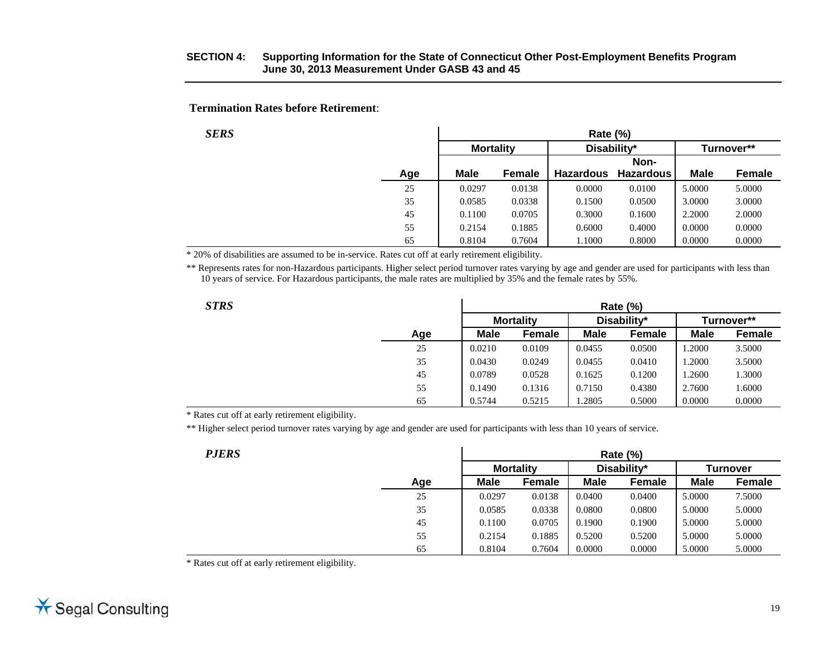**Termination Rates before Retirement**:

| SERS |             | Rate (%)         |                  |                  |             |            |  |  |
|------|-------------|------------------|------------------|------------------|-------------|------------|--|--|
|      |             | <b>Mortality</b> | Disability*      |                  |             | Turnover** |  |  |
|      |             |                  |                  | Non-             |             |            |  |  |
| Age  | <b>Male</b> | Female           | <b>Hazardous</b> | <b>Hazardous</b> | <b>Male</b> | Female     |  |  |
| 25   | 0.0297      | 0.0138           | 0.0000           | 0.0100           | 5.0000      | 5.0000     |  |  |
| 35   | 0.0585      | 0.0338           | 0.1500           | 0.0500           | 3.0000      | 3.0000     |  |  |
| 45   | 0.1100      | 0.0705           | 0.3000           | 0.1600           | 2.2000      | 2.0000     |  |  |
| 55   | 0.2154      | 0.1885           | 0.6000           | 0.4000           | 0.0000      | 0.0000     |  |  |
| 65   | 0.8104      | 0.7604           | 1.1000           | 0.8000           | 0.0000      | 0.0000     |  |  |

\* 20% of disabilities are assumed to be in-service. Rates cut off at early retirement eligibility.

\*\* Represents rates for non-Hazardous participants. Higher select period turnover rates varying by age and gender are used for participants with less than 10 years of service. For Hazardous participants, the male rates are multiplied by 35% and the female rates by 55%.

 $\mathbf{r}$ 

|--|

| STRS |     | Rate (%)    |                  |             |               |             |               |
|------|-----|-------------|------------------|-------------|---------------|-------------|---------------|
|      |     |             | <b>Mortality</b> |             | Disability*   |             | Turnover**    |
|      | Age | <b>Male</b> | Female           | <b>Male</b> | <b>Female</b> | <b>Male</b> | <b>Female</b> |
|      | 25  | 0.0210      | 0.0109           | 0.0455      | 0.0500        | 1.2000      | 3.5000        |
|      | 35  | 0.0430      | 0.0249           | 0.0455      | 0.0410        | .2000       | 3.5000        |
|      | 45  | 0.0789      | 0.0528           | 0.1625      | 0.1200        | 1.2600      | 1.3000        |
|      | 55  | 0.1490      | 0.1316           | 0.7150      | 0.4380        | 2.7600      | 1.6000        |
|      | 65  | 0.5744      | 0.5215           | .2805       | 0.5000        | 0.0000      | 0.0000        |

\* Rates cut off at early retirement eligibility.

\*\* Higher select period turnover rates varying by age and gender are used for participants with less than 10 years of service.

| <i><b>PJERS</b></i> |     | <b>Rate (%)</b> |                  |             |             |             |                 |  |
|---------------------|-----|-----------------|------------------|-------------|-------------|-------------|-----------------|--|
|                     |     |                 | <b>Mortality</b> |             | Disability* |             | <b>Turnover</b> |  |
|                     | Age | <b>Male</b>     | Female           | <b>Male</b> | Female      | <b>Male</b> | <b>Female</b>   |  |
|                     | 25  | 0.0297          | 0.0138           | 0.0400      | 0.0400      | 5.0000      | 7.5000          |  |
|                     | 35  | 0.0585          | 0.0338           | 0.0800      | 0.0800      | 5.0000      | 5.0000          |  |
|                     | 45  | 0.1100          | 0.0705           | 0.1900      | 0.1900      | 5.0000      | 5.0000          |  |
|                     | 55  | 0.2154          | 0.1885           | 0.5200      | 0.5200      | 5.0000      | 5.0000          |  |
|                     | 65  | 0.8104          | 0.7604           | 0.0000      | 0.0000      | 5.0000      | 5.0000          |  |

\* Rates cut off at early retirement eligibility.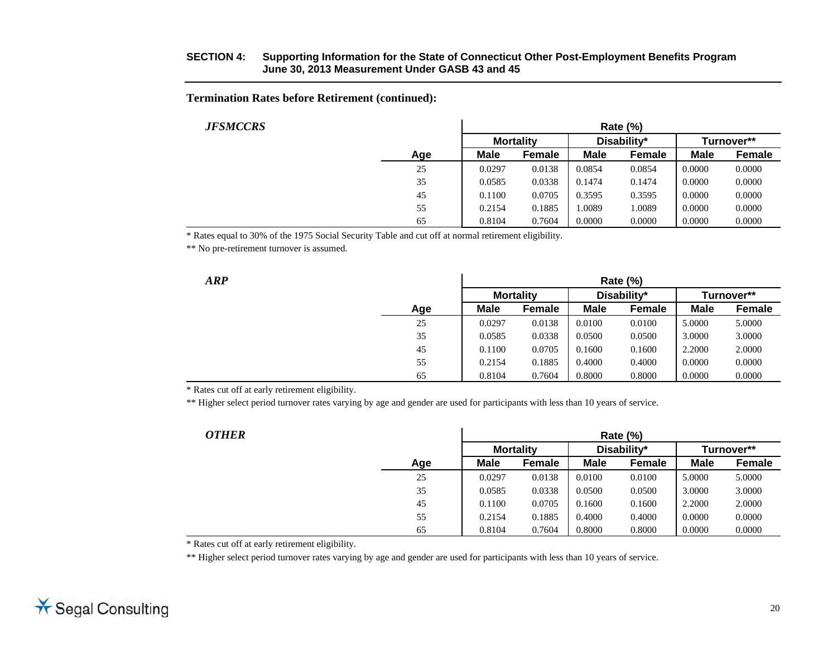**Termination Rates before Retirement (continued):** 

| <i><b>JFSMCCRS</b></i> |     | <b>Rate (%)</b> |                  |             |             |             |               |  |
|------------------------|-----|-----------------|------------------|-------------|-------------|-------------|---------------|--|
|                        |     |                 | <b>Mortality</b> |             | Disability* |             | Turnover**    |  |
|                        | Age | <b>Male</b>     | <b>Female</b>    | <b>Male</b> | Female      | <b>Male</b> | <b>Female</b> |  |
|                        | 25  | 0.0297          | 0.0138           | 0.0854      | 0.0854      | 0.0000      | 0.0000        |  |
|                        | 35  | 0.0585          | 0.0338           | 0.1474      | 0.1474      | 0.0000      | 0.0000        |  |
|                        | 45  | 0.1100          | 0.0705           | 0.3595      | 0.3595      | 0.0000      | 0.0000        |  |
|                        | 55  | 0.2154          | 0.1885           | .0089       | 1.0089      | 0.0000      | 0.0000        |  |
|                        | 65  | 0.8104          | 0.7604           | 0.0000      | 0.0000      | 0.0000      | 0.0000        |  |

\* Rates equal to 30% of the 1975 Social Security Table and cut off at normal retirement eligibility.

\*\* No pre-retirement turnover is assumed.

| ARP |     | Rate $(\%)$ |                  |             |             |             |            |  |  |
|-----|-----|-------------|------------------|-------------|-------------|-------------|------------|--|--|
|     |     |             | <b>Mortality</b> |             | Disability* |             | Turnover** |  |  |
|     | Age | <b>Male</b> | Female           | <b>Male</b> | Female      | <b>Male</b> | Female     |  |  |
|     | 25  | 0.0297      | 0.0138           | 0.0100      | 0.0100      | 5.0000      | 5.0000     |  |  |
|     | 35  | 0.0585      | 0.0338           | 0.0500      | 0.0500      | 3.0000      | 3.0000     |  |  |
|     | 45  | 0.1100      | 0.0705           | 0.1600      | 0.1600      | 2.2000      | 2.0000     |  |  |
|     | 55  | 0.2154      | 0.1885           | 0.4000      | 0.4000      | 0.0000      | 0.0000     |  |  |
|     | 65  | 0.8104      | 0.7604           | 0.8000      | 0.8000      | 0.0000      | 0.0000     |  |  |

\* Rates cut off at early retirement eligibility.

\*\* Higher select period turnover rates varying by age and gender are used for participants with less than 10 years of service.

| <b>OTHER</b> |     | Rate $(\%)$ |                  |             |               |             |            |  |  |
|--------------|-----|-------------|------------------|-------------|---------------|-------------|------------|--|--|
|              |     |             | <b>Mortality</b> |             | Disability*   |             | Turnover** |  |  |
|              | Age | <b>Male</b> | <b>Female</b>    | <b>Male</b> | <b>Female</b> | <b>Male</b> | Female     |  |  |
|              | 25  | 0.0297      | 0.0138           | 0.0100      | 0.0100        | 5.0000      | 5.0000     |  |  |
|              | 35  | 0.0585      | 0.0338           | 0.0500      | 0.0500        | 3.0000      | 3.0000     |  |  |
|              | 45  | 0.1100      | 0.0705           | 0.1600      | 0.1600        | 2.2000      | 2.0000     |  |  |
|              | 55  | 0.2154      | 0.1885           | 0.4000      | 0.4000        | 0.0000      | 0.0000     |  |  |
|              | 65  | 0.8104      | 0.7604           | 0.8000      | 0.8000        | 0.0000      | 0.0000     |  |  |

\* Rates cut off at early retirement eligibility.

\*\* Higher select period turnover rates varying by age and gender are used for participants with less than 10 years of service.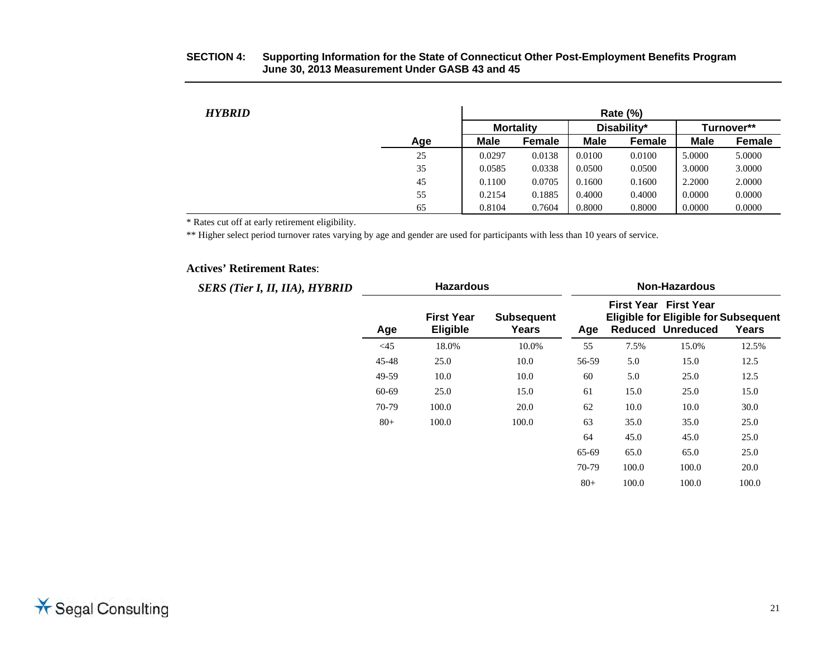| <b>HYBRID</b> |     |             |                  |             | <b>Rate (%)</b> |             |               |
|---------------|-----|-------------|------------------|-------------|-----------------|-------------|---------------|
|               |     |             | <b>Mortality</b> |             | Disability*     |             | Turnover**    |
|               | Age | <b>Male</b> | Female           | <b>Male</b> | Female          | <b>Male</b> | <b>Female</b> |
|               | 25  | 0.0297      | 0.0138           | 0.0100      | 0.0100          | 5.0000      | 5.0000        |
|               | 35  | 0.0585      | 0.0338           | 0.0500      | 0.0500          | 3.0000      | 3.0000        |
|               | 45  | 0.1100      | 0.0705           | 0.1600      | 0.1600          | 2.2000      | 2.0000        |
|               | 55  | 0.2154      | 0.1885           | 0.4000      | 0.4000          | 0.0000      | 0.0000        |
|               | 65  | 0.8104      | 0.7604           | 0.8000      | 0.8000          | 0.0000      | 0.0000        |

\* Rates cut off at early retirement eligibility.

\*\* Higher select period turnover rates varying by age and gender are used for participants with less than 10 years of service.

#### **Actives' Retirement Rates**:

| <b>SERS (Tier I, II, IIA), HYBRID</b> | <b>Hazardous</b> |                                      |                            | <b>Non-Hazardous</b> |       |                                                                                                  |       |  |
|---------------------------------------|------------------|--------------------------------------|----------------------------|----------------------|-------|--------------------------------------------------------------------------------------------------|-------|--|
|                                       | Age              | <b>First Year</b><br><b>Eligible</b> | <b>Subsequent</b><br>Years | Age                  |       | First Year First Year<br><b>Eligible for Eligible for Subsequent</b><br><b>Reduced Unreduced</b> | Years |  |
|                                       | $<$ 45           | 18.0%                                | 10.0%                      | 55                   | 7.5%  | 15.0%                                                                                            | 12.5% |  |
|                                       | 45-48            | 25.0                                 | 10.0                       | 56-59                | 5.0   | 15.0                                                                                             | 12.5  |  |
|                                       | 49-59            | 10.0                                 | 10.0                       | 60                   | 5.0   | 25.0                                                                                             | 12.5  |  |
|                                       | 60-69            | 25.0                                 | 15.0                       | 61                   | 15.0  | 25.0                                                                                             | 15.0  |  |
|                                       | 70-79            | 100.0                                | 20.0                       | 62                   | 10.0  | 10.0                                                                                             | 30.0  |  |
|                                       | $80 +$           | 100.0                                | 100.0                      | 63                   | 35.0  | 35.0                                                                                             | 25.0  |  |
|                                       |                  |                                      |                            | 64                   | 45.0  | 45.0                                                                                             | 25.0  |  |
|                                       |                  |                                      |                            | 65-69                | 65.0  | 65.0                                                                                             | 25.0  |  |
|                                       |                  |                                      |                            | 70-79                | 100.0 | 100.0                                                                                            | 20.0  |  |
|                                       |                  |                                      |                            | $80 +$               | 100.0 | 100.0                                                                                            | 100.0 |  |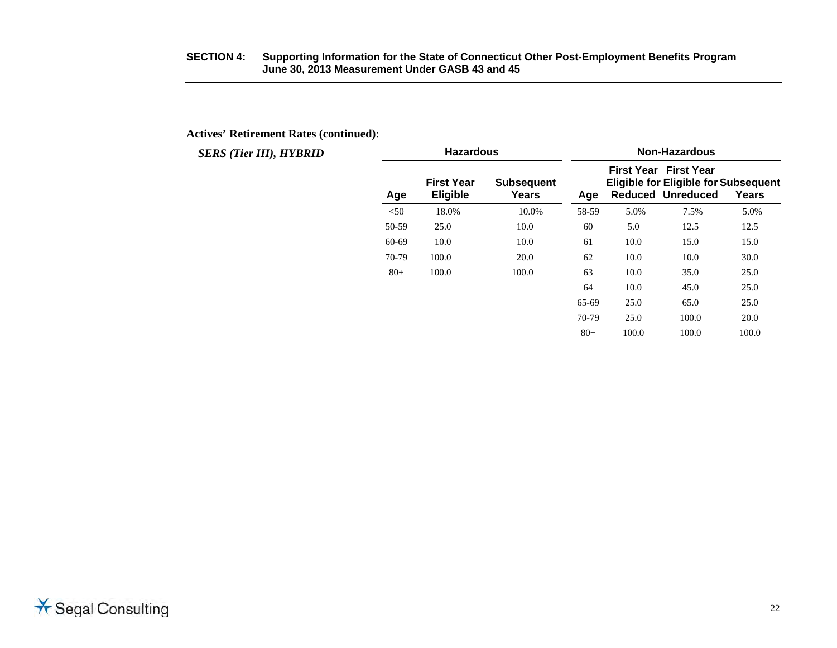#### **Actives' Retirement Rates (continued)**:

| <b>SERS (Tier III), HYBRID</b> |       | <b>Hazardous</b>                     |                            |       |       | <b>Non-Hazardous</b>                                     |                                                      |
|--------------------------------|-------|--------------------------------------|----------------------------|-------|-------|----------------------------------------------------------|------------------------------------------------------|
|                                | Age   | <b>First Year</b><br><b>Eligible</b> | <b>Subsequent</b><br>Years | Age   |       | <b>First Year First Year</b><br><b>Reduced Unreduced</b> | <b>Eligible for Eligible for Subsequent</b><br>Years |
|                                | < 50  | 18.0%                                | 10.0%                      | 58-59 | 5.0%  | 7.5%                                                     | 5.0%                                                 |
|                                | 50-59 | 25.0                                 | 10.0                       | 60    | 5.0   | 12.5                                                     | 12.5                                                 |
|                                | 60-69 | 10.0                                 | 10.0                       | 61    | 10.0  | 15.0                                                     | 15.0                                                 |
|                                | 70-79 | 100.0                                | 20.0                       | 62    | 10.0  | 10.0                                                     | 30.0                                                 |
|                                | $80+$ | 100.0                                | 100.0                      | 63    | 10.0  | 35.0                                                     | 25.0                                                 |
|                                |       |                                      |                            | 64    | 10.0  | 45.0                                                     | 25.0                                                 |
|                                |       |                                      |                            | 65-69 | 25.0  | 65.0                                                     | 25.0                                                 |
|                                |       |                                      |                            | 70-79 | 25.0  | 100.0                                                    | 20.0                                                 |
|                                |       |                                      |                            | $80+$ | 100.0 | 100.0                                                    | 100.0                                                |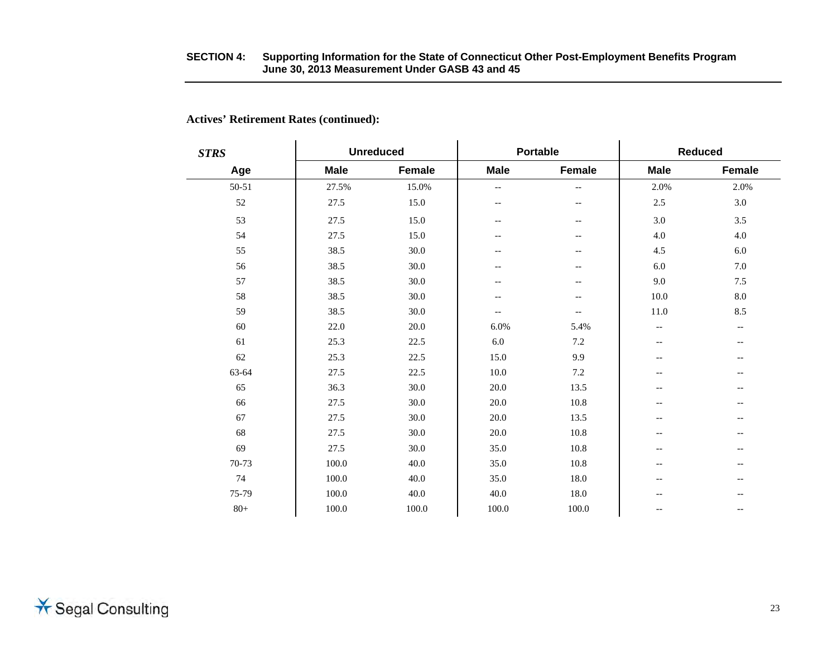| <b>STRS</b> |             | <b>Unreduced</b> |                          | <b>Portable</b>          | <b>Reduced</b>           |                          |  |
|-------------|-------------|------------------|--------------------------|--------------------------|--------------------------|--------------------------|--|
| Age         | <b>Male</b> | Female           | <b>Male</b>              | Female                   | <b>Male</b>              | Female                   |  |
| 50-51       | 27.5%       | 15.0%            | $-$                      | $-$                      | 2.0%                     | 2.0%                     |  |
| 52          | 27.5        | 15.0             | $\overline{\phantom{m}}$ | $\overline{\phantom{m}}$ | $2.5\,$                  | 3.0                      |  |
| 53          | 27.5        | 15.0             | $-\,-$                   | $-\,-$                   | 3.0                      | 3.5                      |  |
| 54          | 27.5        | 15.0             | --                       | --                       | 4.0                      | 4.0                      |  |
| 55          | 38.5        | 30.0             | $\overline{\phantom{m}}$ | $\overline{\phantom{a}}$ | 4.5                      | 6.0                      |  |
| 56          | 38.5        | 30.0             | --                       | --                       | 6.0                      | 7.0                      |  |
| 57          | 38.5        | 30.0             | --                       | --                       | 9.0                      | 7.5                      |  |
| 58          | 38.5        | 30.0             | --                       | --                       | 10.0                     | 8.0                      |  |
| 59          | 38.5        | 30.0             | $\overline{\phantom{m}}$ | $\overline{\phantom{a}}$ | 11.0                     | 8.5                      |  |
| 60          | 22.0        | 20.0             | 6.0%                     | 5.4%                     | $-\, -$                  | $\overline{\phantom{a}}$ |  |
| 61          | 25.3        | 22.5             | $6.0\,$                  | 7.2                      | $-\,$ $-$                | --                       |  |
| 62          | 25.3        | 22.5             | 15.0                     | 9.9                      | $\overline{\phantom{m}}$ | $\qquad \qquad -$        |  |
| 63-64       | 27.5        | 22.5             | 10.0                     | 7.2                      | $\qquad \qquad -$        | $\qquad \qquad -$        |  |
| 65          | 36.3        | 30.0             | 20.0                     | 13.5                     | $- -$                    | --                       |  |
| 66          | 27.5        | 30.0             | 20.0                     | 10.8                     | $\overline{\phantom{m}}$ | $- -$                    |  |
| 67          | 27.5        | 30.0             | 20.0                     | 13.5                     | $-$                      | $- -$                    |  |
| 68          | 27.5        | 30.0             | 20.0                     | 10.8                     | $\overline{\phantom{m}}$ | $\qquad \qquad -$        |  |
| 69          | 27.5        | 30.0             | 35.0                     | 10.8                     | $-$                      | $\qquad \qquad -$        |  |
| 70-73       | 100.0       | 40.0             | 35.0                     | 10.8                     | $-$                      | $- -$                    |  |
| 74          | 100.0       | 40.0             | 35.0                     | 18.0                     | $-$                      | $\qquad \qquad -$        |  |
| 75-79       | 100.0       | 40.0             | 40.0                     | 18.0                     | $-$                      | --                       |  |
| $80+$       | 100.0       | 100.0            | 100.0                    | 100.0                    | $-$                      | $- -$                    |  |

#### **Actives' Retirement Rates (continued):**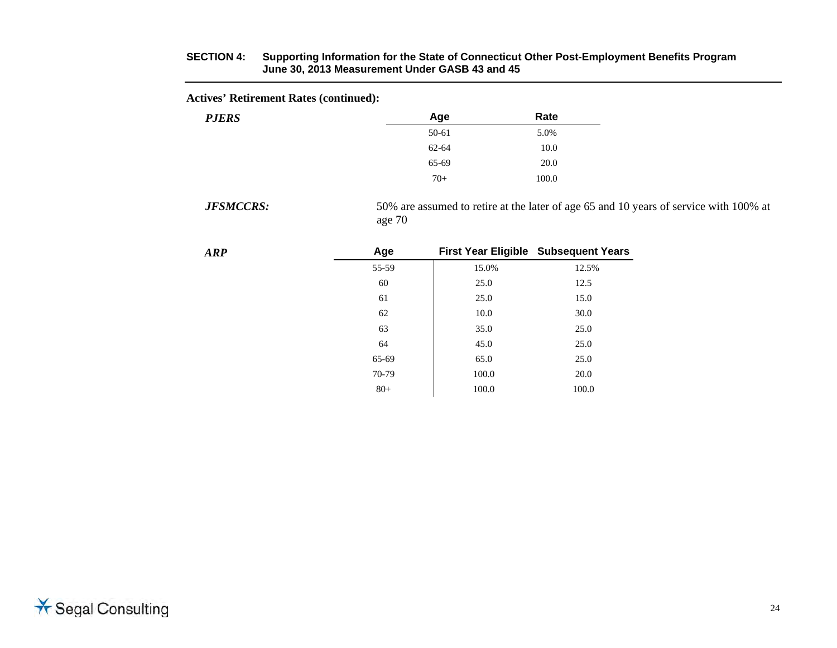#### **Actives' Retirement Rates (continued):**

| <b>PJERS</b> | Age   | Rate  |
|--------------|-------|-------|
|              | 50-61 | 5.0%  |
|              | 62-64 | 10.0  |
|              | 65-69 | 20.0  |
|              | $70+$ | 100.0 |
|              |       |       |

*JFSMCCRS:*

 50% are assumed to retire at the later of age 65 and 10 years of service with 100% at age 70

| <b>ARP</b> | Age   |       | First Year Eligible Subsequent Years |
|------------|-------|-------|--------------------------------------|
|            | 55-59 | 15.0% | 12.5%                                |
|            | 60    | 25.0  | 12.5                                 |
|            | 61    | 25.0  | 15.0                                 |
|            | 62    | 10.0  | 30.0                                 |
|            | 63    | 35.0  | 25.0                                 |
|            | 64    | 45.0  | 25.0                                 |
|            | 65-69 | 65.0  | 25.0                                 |
|            | 70-79 | 100.0 | 20.0                                 |
|            | $80+$ | 100.0 | 100.0                                |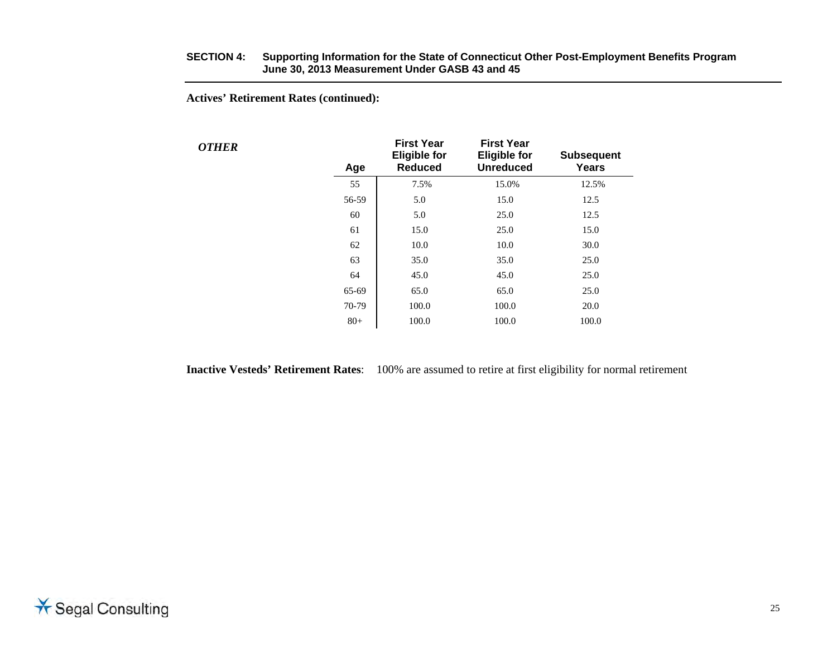**Actives' Retirement Rates (continued):** 

*OTHER* 

| Age   | <b>First Year</b><br><b>Eligible for</b><br><b>Reduced</b> | <b>First Year</b><br><b>Eligible for</b><br><b>Unreduced</b> | <b>Subsequent</b><br>Years |  |
|-------|------------------------------------------------------------|--------------------------------------------------------------|----------------------------|--|
| 55    | 7.5%                                                       | 15.0%                                                        | 12.5%                      |  |
| 56-59 | 5.0                                                        | 15.0                                                         | 12.5                       |  |
| 60    | 5.0                                                        | 25.0                                                         | 12.5                       |  |
| 61    | 15.0                                                       | 25.0                                                         | 15.0                       |  |
| 62    | 10.0                                                       | 10.0                                                         | 30.0                       |  |
| 63    | 35.0                                                       | 35.0                                                         | 25.0                       |  |
| 64    | 45.0                                                       | 45.0                                                         | 25.0                       |  |
| 65-69 | 65.0                                                       | 65.0                                                         | 25.0                       |  |
| 70-79 | 100.0                                                      | 100.0                                                        | 20.0                       |  |
| $80+$ | 100.0                                                      | 100.0                                                        | 100.0                      |  |
|       |                                                            |                                                              |                            |  |

**Inactive Vesteds' Retirement Rates**: 100% are assumed to retire at first eligibility for normal retirement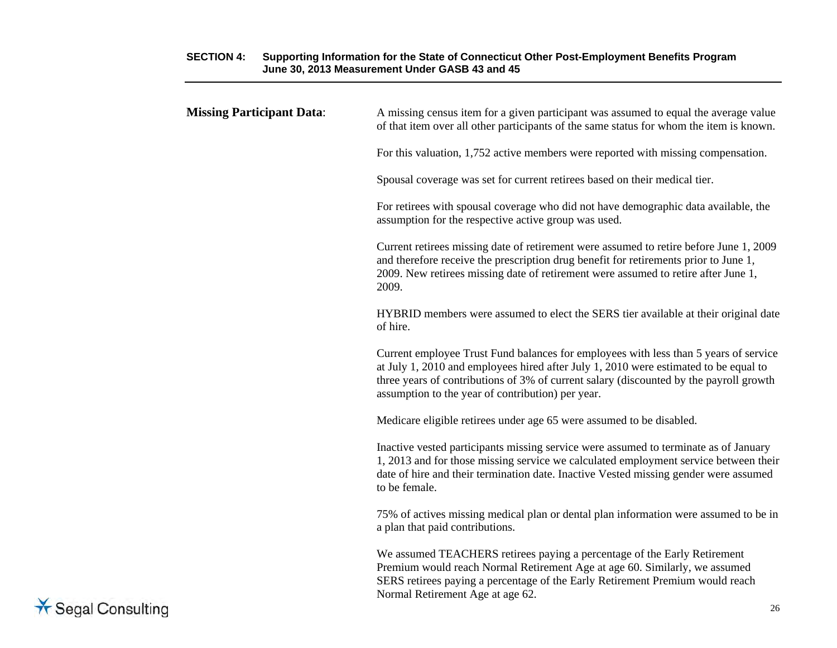| <b>Missing Participant Data:</b> | A missing census item for a given participant was assumed to equal the average value<br>of that item over all other participants of the same status for whom the item is known.                                                                                                                                             |
|----------------------------------|-----------------------------------------------------------------------------------------------------------------------------------------------------------------------------------------------------------------------------------------------------------------------------------------------------------------------------|
|                                  | For this valuation, 1,752 active members were reported with missing compensation.                                                                                                                                                                                                                                           |
|                                  | Spousal coverage was set for current retirees based on their medical tier.                                                                                                                                                                                                                                                  |
|                                  | For retirees with spousal coverage who did not have demographic data available, the<br>assumption for the respective active group was used.                                                                                                                                                                                 |
|                                  | Current retirees missing date of retirement were assumed to retire before June 1, 2009<br>and therefore receive the prescription drug benefit for retirements prior to June 1,<br>2009. New retirees missing date of retirement were assumed to retire after June 1,<br>2009.                                               |
|                                  | HYBRID members were assumed to elect the SERS tier available at their original date<br>of hire.                                                                                                                                                                                                                             |
|                                  | Current employee Trust Fund balances for employees with less than 5 years of service<br>at July 1, 2010 and employees hired after July 1, 2010 were estimated to be equal to<br>three years of contributions of 3% of current salary (discounted by the payroll growth<br>assumption to the year of contribution) per year. |
|                                  | Medicare eligible retirees under age 65 were assumed to be disabled.                                                                                                                                                                                                                                                        |
|                                  | Inactive vested participants missing service were assumed to terminate as of January<br>1, 2013 and for those missing service we calculated employment service between their<br>date of hire and their termination date. Inactive Vested missing gender were assumed<br>to be female.                                       |
|                                  | 75% of actives missing medical plan or dental plan information were assumed to be in<br>a plan that paid contributions.                                                                                                                                                                                                     |
|                                  | We assumed TEACHERS retirees paying a percentage of the Early Retirement<br>Premium would reach Normal Retirement Age at age 60. Similarly, we assumed<br>SERS retirees paying a percentage of the Early Retirement Premium would reach<br>Normal Retirement Age at age 62.                                                 |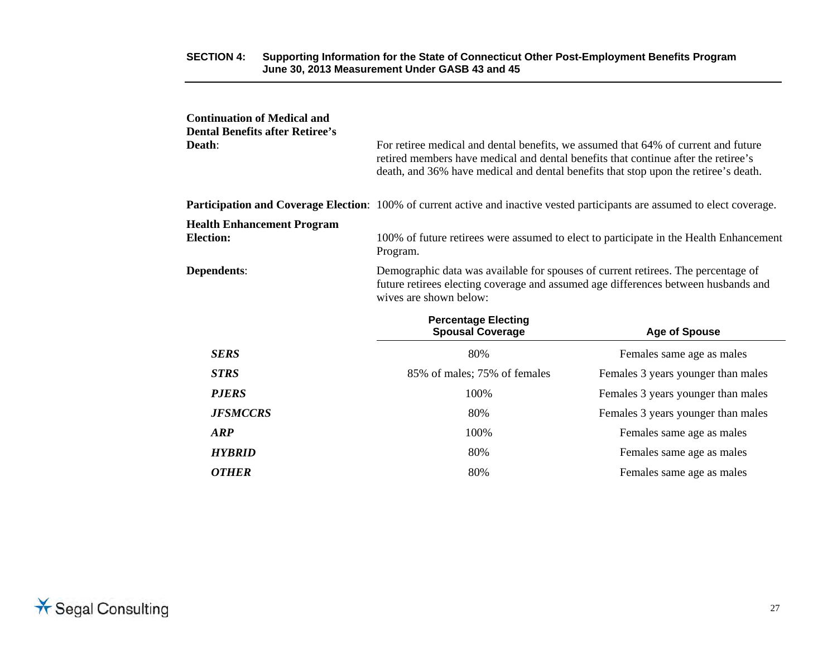| <b>Continuation of Medical and</b><br><b>Dental Benefits after Retiree's</b><br>Death: | For retiree medical and dental benefits, we assumed that 64% of current and future<br>retired members have medical and dental benefits that continue after the retiree's<br>death, and 36% have medical and dental benefits that stop upon the retiree's death. |                                                                                                                                    |  |  |
|----------------------------------------------------------------------------------------|-----------------------------------------------------------------------------------------------------------------------------------------------------------------------------------------------------------------------------------------------------------------|------------------------------------------------------------------------------------------------------------------------------------|--|--|
|                                                                                        |                                                                                                                                                                                                                                                                 | <b>Participation and Coverage Election:</b> 100% of current active and inactive vested participants are assumed to elect coverage. |  |  |
| <b>Health Enhancement Program</b><br><b>Election:</b>                                  | Program.                                                                                                                                                                                                                                                        | 100% of future retirees were assumed to elect to participate in the Health Enhancement                                             |  |  |
| Dependents:                                                                            | Demographic data was available for spouses of current retirees. The percentage of<br>future retirees electing coverage and assumed age differences between husbands and<br>wives are shown below:                                                               |                                                                                                                                    |  |  |
|                                                                                        | <b>Percentage Electing</b><br><b>Spousal Coverage</b>                                                                                                                                                                                                           | <b>Age of Spouse</b>                                                                                                               |  |  |
| <b>SERS</b>                                                                            | 80%                                                                                                                                                                                                                                                             | Females same age as males                                                                                                          |  |  |
| <b>STRS</b>                                                                            | 85% of males; 75% of females                                                                                                                                                                                                                                    | Females 3 years younger than males                                                                                                 |  |  |
| <b>P.JERS</b>                                                                          | 100%                                                                                                                                                                                                                                                            | Females 3 years younger than males                                                                                                 |  |  |
| <b>JFSMCCRS</b>                                                                        | 80%                                                                                                                                                                                                                                                             | Females 3 years younger than males                                                                                                 |  |  |
| <b>ARP</b>                                                                             | 100%                                                                                                                                                                                                                                                            | Females same age as males                                                                                                          |  |  |
| <b>HYBRID</b>                                                                          | 80%                                                                                                                                                                                                                                                             | Females same age as males                                                                                                          |  |  |
| <b>OTHER</b>                                                                           | 80%                                                                                                                                                                                                                                                             | Females same age as males                                                                                                          |  |  |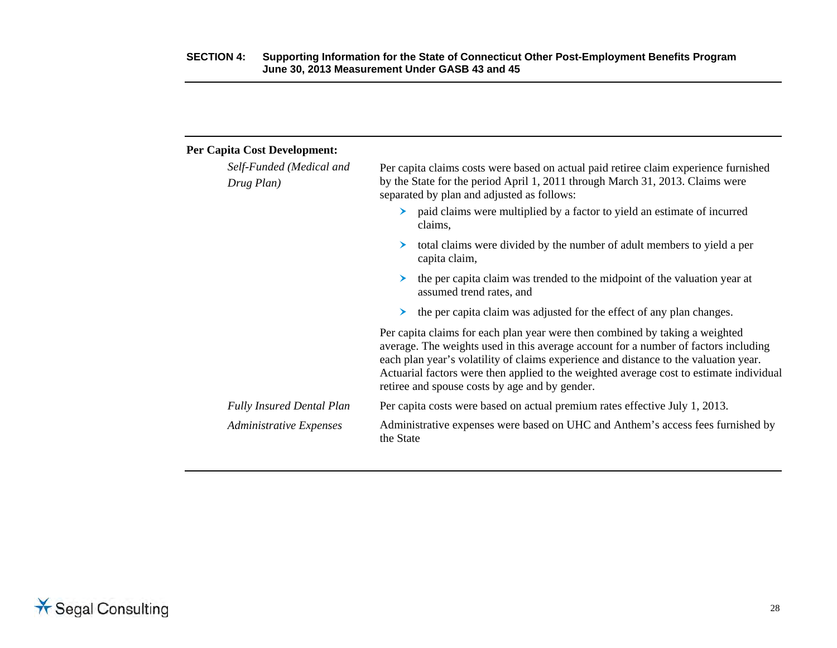| <b>Per Capita Cost Development:</b>    |                                                                                                                                                                                                                                                                                                                                                                                                          |
|----------------------------------------|----------------------------------------------------------------------------------------------------------------------------------------------------------------------------------------------------------------------------------------------------------------------------------------------------------------------------------------------------------------------------------------------------------|
| Self-Funded (Medical and<br>Drug Plan) | Per capita claims costs were based on actual paid retiree claim experience furnished<br>by the State for the period April 1, 2011 through March 31, 2013. Claims were<br>separated by plan and adjusted as follows:                                                                                                                                                                                      |
|                                        | paid claims were multiplied by a factor to yield an estimate of incurred<br>claims,                                                                                                                                                                                                                                                                                                                      |
|                                        | total claims were divided by the number of adult members to yield a per<br>capita claim,                                                                                                                                                                                                                                                                                                                 |
|                                        | the per capita claim was trended to the midpoint of the valuation year at<br>assumed trend rates, and                                                                                                                                                                                                                                                                                                    |
|                                        | the per capita claim was adjusted for the effect of any plan changes.<br>➤                                                                                                                                                                                                                                                                                                                               |
|                                        | Per capita claims for each plan year were then combined by taking a weighted<br>average. The weights used in this average account for a number of factors including<br>each plan year's volatility of claims experience and distance to the valuation year.<br>Actuarial factors were then applied to the weighted average cost to estimate individual<br>retiree and spouse costs by age and by gender. |
| <b>Fully Insured Dental Plan</b>       | Per capita costs were based on actual premium rates effective July 1, 2013.                                                                                                                                                                                                                                                                                                                              |
| <b>Administrative Expenses</b>         | Administrative expenses were based on UHC and Anthem's access fees furnished by<br>the State                                                                                                                                                                                                                                                                                                             |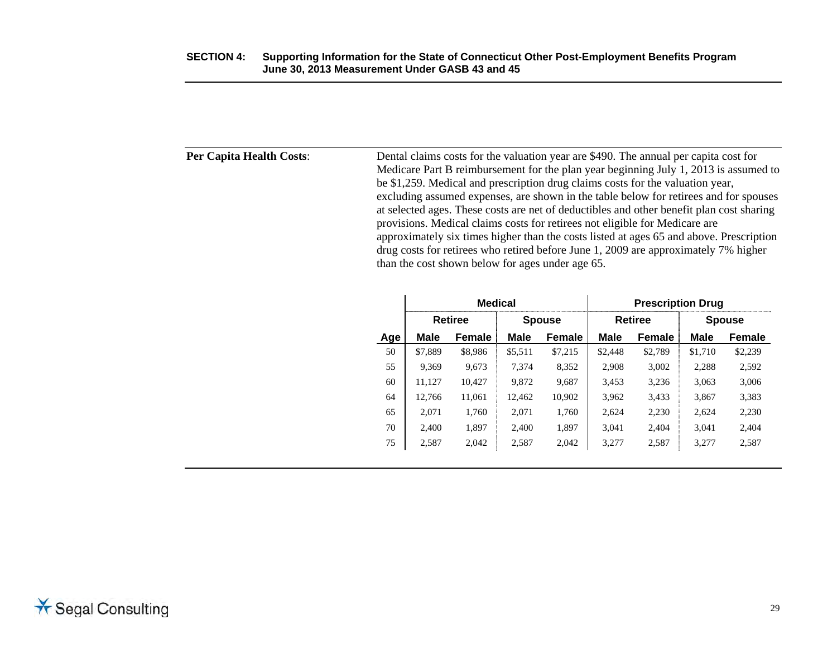| Per Capita Health Costs: | Dental claims costs for the valuation year are \$490. The annual per capita cost for<br>Medicare Part B reimbursement for the plan year beginning July 1, 2013 is assumed to<br>be \$1,259. Medical and prescription drug claims costs for the valuation year,<br>excluding assumed expenses, are shown in the table below for retirees and for spouses<br>at selected ages. These costs are net of deductibles and other benefit plan cost sharing<br>provisions. Medical claims costs for retirees not eligible for Medicare are<br>approximately six times higher than the costs listed at ages 65 and above. Prescription<br>drug costs for retirees who retired before June 1, 2009 are approximately 7% higher |
|--------------------------|----------------------------------------------------------------------------------------------------------------------------------------------------------------------------------------------------------------------------------------------------------------------------------------------------------------------------------------------------------------------------------------------------------------------------------------------------------------------------------------------------------------------------------------------------------------------------------------------------------------------------------------------------------------------------------------------------------------------|
|                          | than the cost shown below for ages under age 65.                                                                                                                                                                                                                                                                                                                                                                                                                                                                                                                                                                                                                                                                     |

|     | <b>Medical</b> |         |               | <b>Prescription Drug</b> |                |         |               |               |
|-----|----------------|---------|---------------|--------------------------|----------------|---------|---------------|---------------|
|     |                | Retiree | <b>Spouse</b> |                          | <b>Retiree</b> |         | <b>Spouse</b> |               |
| Age | <b>Male</b>    | Female  | Male          | <b>Female</b>            | <b>Male</b>    | Female  | <b>Male</b>   | <b>Female</b> |
| 50  | \$7,889        | \$8,986 | \$5,511       | \$7,215                  | \$2,448        | \$2,789 | \$1,710       | \$2,239       |
| 55  | 9.369          | 9.673   | 7.374         | 8,352                    | 2.908          | 3.002   | 2,288         | 2,592         |
| 60  | 11.127         | 10.427  | 9.872         | 9,687                    | 3,453          | 3.236   | 3.063         | 3.006         |
| 64  | 12.766         | 11.061  | 12.462        | 10.902                   | 3.962          | 3.433   | 3.867         | 3,383         |
| 65  | 2.071          | 1.760   | 2.071         | 1,760                    | 2,624          | 2,230   | 2.624         | 2,230         |
| 70  | 2.400          | 1.897   | 2.400         | 1,897                    | 3,041          | 2.404   | 3.041         | 2,404         |
| 75  | 2,587          | 2,042   | 2,587         | 2,042                    | 3,277          | 2,587   | 3,277         | 2,587         |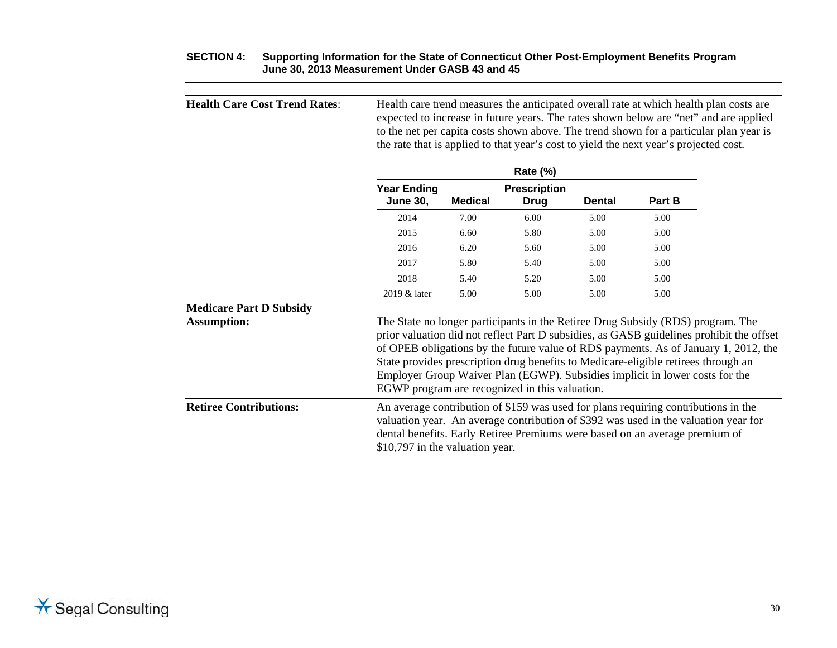| <b>Health Care Cost Trend Rates:</b> |                                                                                                                                                                                                                                                                                             |                |                                      |               | the rate that is applied to that year's cost to yield the next year's projected cost.                                                                                                                                                                 | Health care trend measures the anticipated overall rate at which health plan costs are<br>expected to increase in future years. The rates shown below are "net" and are applied<br>to the net per capita costs shown above. The trend shown for a particular plan year is |
|--------------------------------------|---------------------------------------------------------------------------------------------------------------------------------------------------------------------------------------------------------------------------------------------------------------------------------------------|----------------|--------------------------------------|---------------|-------------------------------------------------------------------------------------------------------------------------------------------------------------------------------------------------------------------------------------------------------|---------------------------------------------------------------------------------------------------------------------------------------------------------------------------------------------------------------------------------------------------------------------------|
|                                      |                                                                                                                                                                                                                                                                                             |                | Rate (%)                             |               |                                                                                                                                                                                                                                                       |                                                                                                                                                                                                                                                                           |
|                                      | <b>Year Ending</b><br><b>June 30,</b>                                                                                                                                                                                                                                                       | <b>Medical</b> | <b>Prescription</b><br><b>Drug</b>   | <b>Dental</b> | Part B                                                                                                                                                                                                                                                |                                                                                                                                                                                                                                                                           |
|                                      | 2014                                                                                                                                                                                                                                                                                        | 7.00           | 6.00                                 | 5.00          | 5.00                                                                                                                                                                                                                                                  |                                                                                                                                                                                                                                                                           |
|                                      | 2015                                                                                                                                                                                                                                                                                        | 6.60           | 5.80<br>5.60<br>5.40<br>5.20<br>5.00 | 5.00          | 5.00                                                                                                                                                                                                                                                  |                                                                                                                                                                                                                                                                           |
|                                      | 2016<br>2017<br>2018<br>2019 & later                                                                                                                                                                                                                                                        | 6.20           |                                      | 5.00          | 5.00<br>5.00<br>5.00                                                                                                                                                                                                                                  |                                                                                                                                                                                                                                                                           |
|                                      |                                                                                                                                                                                                                                                                                             | 5.80           |                                      | 5.00          |                                                                                                                                                                                                                                                       |                                                                                                                                                                                                                                                                           |
|                                      |                                                                                                                                                                                                                                                                                             | 5.40           |                                      | 5.00          |                                                                                                                                                                                                                                                       |                                                                                                                                                                                                                                                                           |
|                                      |                                                                                                                                                                                                                                                                                             | 5.00           |                                      | 5.00          | 5.00                                                                                                                                                                                                                                                  |                                                                                                                                                                                                                                                                           |
| <b>Medicare Part D Subsidy</b>       |                                                                                                                                                                                                                                                                                             |                |                                      |               |                                                                                                                                                                                                                                                       |                                                                                                                                                                                                                                                                           |
| <b>Assumption:</b>                   | EGWP program are recognized in this valuation.                                                                                                                                                                                                                                              |                |                                      |               | The State no longer participants in the Retiree Drug Subsidy (RDS) program. The<br>State provides prescription drug benefits to Medicare-eligible retirees through an<br>Employer Group Waiver Plan (EGWP). Subsidies implicit in lower costs for the | prior valuation did not reflect Part D subsidies, as GASB guidelines prohibit the offset<br>of OPEB obligations by the future value of RDS payments. As of January 1, 2012, the                                                                                           |
| <b>Retiree Contributions:</b>        | An average contribution of \$159 was used for plans requiring contributions in the<br>valuation year. An average contribution of \$392 was used in the valuation year for<br>dental benefits. Early Retiree Premiums were based on an average premium of<br>\$10,797 in the valuation year. |                |                                      |               |                                                                                                                                                                                                                                                       |                                                                                                                                                                                                                                                                           |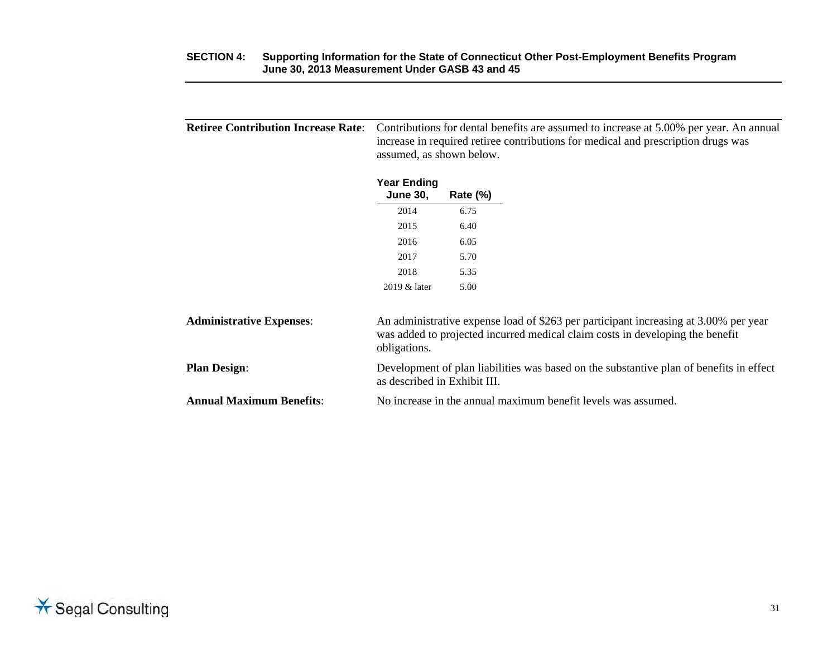| <b>Retiree Contribution Increase Rate:</b> | Contributions for dental benefits are assumed to increase at 5.00% per year. An annual<br>increase in required retiree contributions for medical and prescription drugs was<br>assumed, as shown below. |             |                                                                                                                                                                       |  |  |  |  |  |
|--------------------------------------------|---------------------------------------------------------------------------------------------------------------------------------------------------------------------------------------------------------|-------------|-----------------------------------------------------------------------------------------------------------------------------------------------------------------------|--|--|--|--|--|
|                                            | <b>Year Ending</b><br><b>June 30,</b>                                                                                                                                                                   | Rate $(\%)$ |                                                                                                                                                                       |  |  |  |  |  |
|                                            | 2014                                                                                                                                                                                                    | 6.75        |                                                                                                                                                                       |  |  |  |  |  |
|                                            | 2015                                                                                                                                                                                                    | 6.40        |                                                                                                                                                                       |  |  |  |  |  |
|                                            | 2016                                                                                                                                                                                                    | 6.05        |                                                                                                                                                                       |  |  |  |  |  |
|                                            | 2017                                                                                                                                                                                                    | 5.70        |                                                                                                                                                                       |  |  |  |  |  |
|                                            | 2018                                                                                                                                                                                                    | 5.35        |                                                                                                                                                                       |  |  |  |  |  |
|                                            | 2019 & later                                                                                                                                                                                            | 5.00        |                                                                                                                                                                       |  |  |  |  |  |
| <b>Administrative Expenses:</b>            | obligations.                                                                                                                                                                                            |             | An administrative expense load of \$263 per participant increasing at 3.00% per year<br>was added to projected incurred medical claim costs in developing the benefit |  |  |  |  |  |
| <b>Plan Design:</b>                        | as described in Exhibit III.                                                                                                                                                                            |             | Development of plan liabilities was based on the substantive plan of benefits in effect                                                                               |  |  |  |  |  |
| <b>Annual Maximum Benefits:</b>            |                                                                                                                                                                                                         |             | No increase in the annual maximum benefit levels was assumed.                                                                                                         |  |  |  |  |  |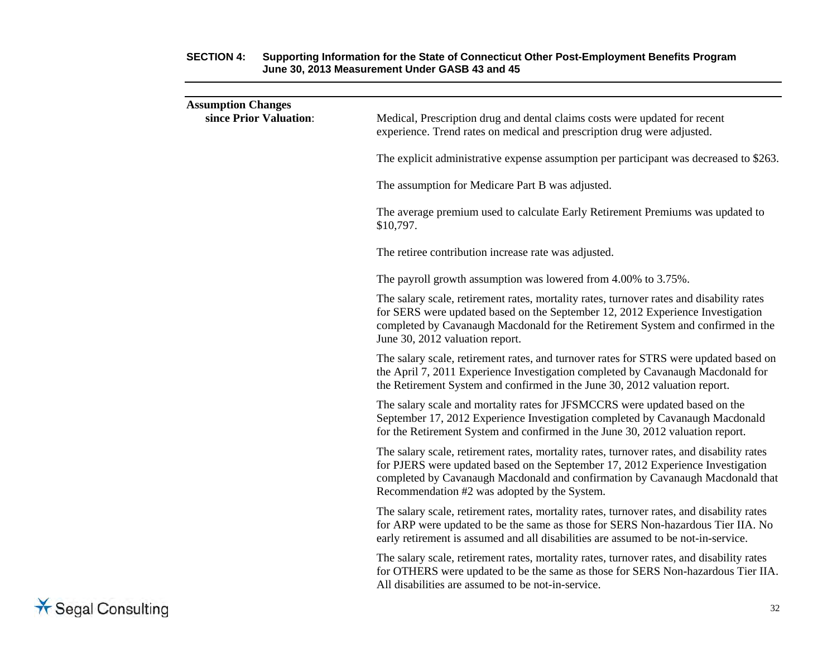| <b>Assumption Changes</b><br>since Prior Valuation: | Medical, Prescription drug and dental claims costs were updated for recent<br>experience. Trend rates on medical and prescription drug were adjusted.                                                                                                                                                         |
|-----------------------------------------------------|---------------------------------------------------------------------------------------------------------------------------------------------------------------------------------------------------------------------------------------------------------------------------------------------------------------|
|                                                     | The explicit administrative expense assumption per participant was decreased to \$263.                                                                                                                                                                                                                        |
|                                                     | The assumption for Medicare Part B was adjusted.                                                                                                                                                                                                                                                              |
|                                                     | The average premium used to calculate Early Retirement Premiums was updated to<br>\$10,797.                                                                                                                                                                                                                   |
|                                                     | The retiree contribution increase rate was adjusted.                                                                                                                                                                                                                                                          |
|                                                     | The payroll growth assumption was lowered from 4.00% to 3.75%.                                                                                                                                                                                                                                                |
|                                                     | The salary scale, retirement rates, mortality rates, turnover rates and disability rates<br>for SERS were updated based on the September 12, 2012 Experience Investigation<br>completed by Cavanaugh Macdonald for the Retirement System and confirmed in the<br>June 30, 2012 valuation report.              |
|                                                     | The salary scale, retirement rates, and turnover rates for STRS were updated based on<br>the April 7, 2011 Experience Investigation completed by Cavanaugh Macdonald for<br>the Retirement System and confirmed in the June 30, 2012 valuation report.                                                        |
|                                                     | The salary scale and mortality rates for JFSMCCRS were updated based on the<br>September 17, 2012 Experience Investigation completed by Cavanaugh Macdonald<br>for the Retirement System and confirmed in the June 30, 2012 valuation report.                                                                 |
|                                                     | The salary scale, retirement rates, mortality rates, turnover rates, and disability rates<br>for PJERS were updated based on the September 17, 2012 Experience Investigation<br>completed by Cavanaugh Macdonald and confirmation by Cavanaugh Macdonald that<br>Recommendation #2 was adopted by the System. |
|                                                     | The salary scale, retirement rates, mortality rates, turnover rates, and disability rates<br>for ARP were updated to be the same as those for SERS Non-hazardous Tier IIA. No<br>early retirement is assumed and all disabilities are assumed to be not-in-service.                                           |
|                                                     | The salary scale, retirement rates, mortality rates, turnover rates, and disability rates<br>for OTHERS were updated to be the same as those for SERS Non-hazardous Tier IIA.<br>All disabilities are assumed to be not-in-service.                                                                           |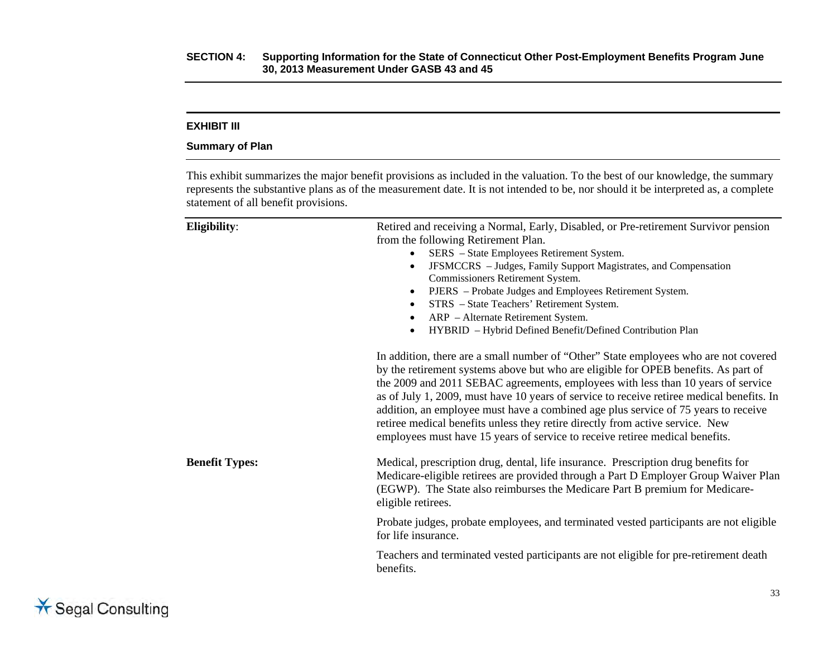### **EXHIBIT III**

#### **Summary of Plan**

This exhibit summarizes the major benefit provisions as included in the valuation. To the best of our knowledge, the summary represents the substantive plans as of the measurement date. It is not intended to be, nor should it be interpreted as, a complete statement of all benefit provisions.

| Eligibility:          | Retired and receiving a Normal, Early, Disabled, or Pre-retirement Survivor pension<br>from the following Retirement Plan.<br>SERS - State Employees Retirement System.<br>JFSMCCRS - Judges, Family Support Magistrates, and Compensation<br>$\bullet$<br>Commissioners Retirement System.<br>PJERS - Probate Judges and Employees Retirement System.<br>$\bullet$<br>STRS - State Teachers' Retirement System.<br>$\bullet$<br>ARP - Alternate Retirement System.<br>$\bullet$<br>HYBRID - Hybrid Defined Benefit/Defined Contribution Plan<br>$\bullet$                                                         |
|-----------------------|--------------------------------------------------------------------------------------------------------------------------------------------------------------------------------------------------------------------------------------------------------------------------------------------------------------------------------------------------------------------------------------------------------------------------------------------------------------------------------------------------------------------------------------------------------------------------------------------------------------------|
|                       | In addition, there are a small number of "Other" State employees who are not covered<br>by the retirement systems above but who are eligible for OPEB benefits. As part of<br>the 2009 and 2011 SEBAC agreements, employees with less than 10 years of service<br>as of July 1, 2009, must have 10 years of service to receive retiree medical benefits. In<br>addition, an employee must have a combined age plus service of 75 years to receive<br>retiree medical benefits unless they retire directly from active service. New<br>employees must have 15 years of service to receive retiree medical benefits. |
| <b>Benefit Types:</b> | Medical, prescription drug, dental, life insurance. Prescription drug benefits for<br>Medicare-eligible retirees are provided through a Part D Employer Group Waiver Plan<br>(EGWP). The State also reimburses the Medicare Part B premium for Medicare-<br>eligible retirees.                                                                                                                                                                                                                                                                                                                                     |
|                       | Probate judges, probate employees, and terminated vested participants are not eligible<br>for life insurance.                                                                                                                                                                                                                                                                                                                                                                                                                                                                                                      |
|                       | Teachers and terminated vested participants are not eligible for pre-retirement death<br>benefits.                                                                                                                                                                                                                                                                                                                                                                                                                                                                                                                 |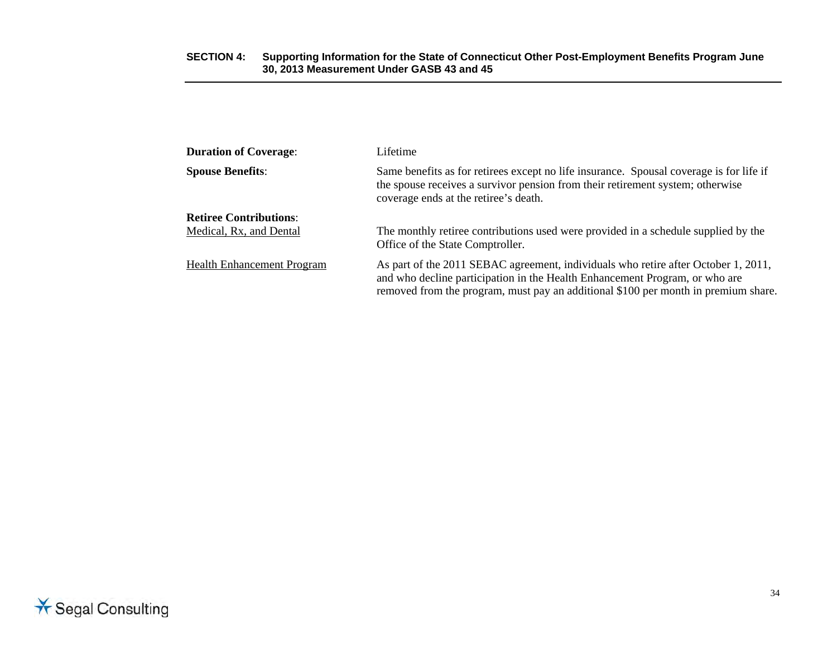| <b>Duration of Coverage:</b>      | Lifetime                                                                                                                                                                                                                                                |  |  |  |
|-----------------------------------|---------------------------------------------------------------------------------------------------------------------------------------------------------------------------------------------------------------------------------------------------------|--|--|--|
| <b>Spouse Benefits:</b>           | Same benefits as for retirees except no life insurance. Spousal coverage is for life if<br>the spouse receives a survivor pension from their retirement system; otherwise<br>coverage ends at the retiree's death.                                      |  |  |  |
| <b>Retiree Contributions:</b>     |                                                                                                                                                                                                                                                         |  |  |  |
| Medical, Rx, and Dental           | The monthly retiree contributions used were provided in a schedule supplied by the<br>Office of the State Comptroller.                                                                                                                                  |  |  |  |
| <b>Health Enhancement Program</b> | As part of the 2011 SEBAC agreement, individuals who retire after October 1, 2011,<br>and who decline participation in the Health Enhancement Program, or who are<br>removed from the program, must pay an additional \$100 per month in premium share. |  |  |  |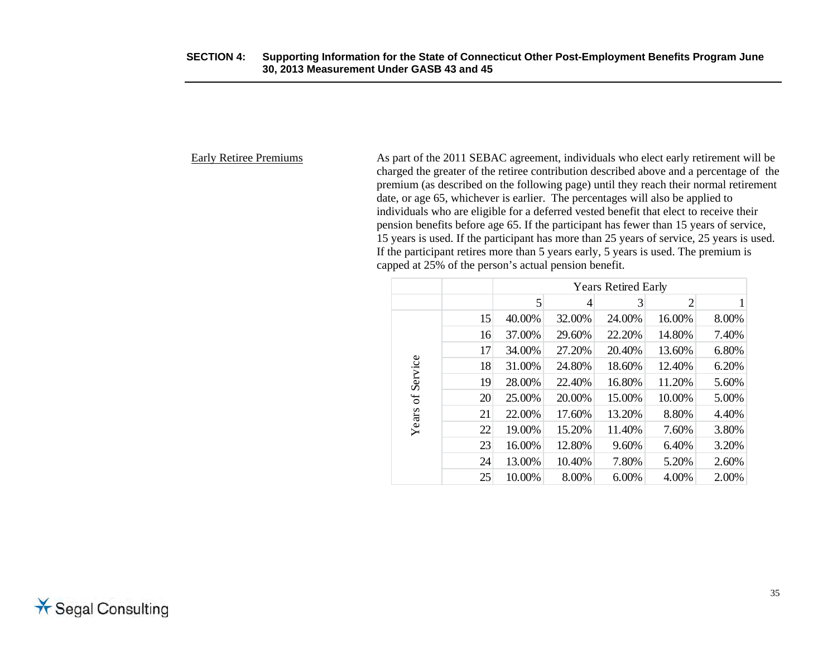Early Retiree Premiums As part of the 2011 SEBAC agreement, individuals who elect early retirement will be charged the greater of the retiree contribution described above and a percentage of the premium (as described on the following page) until they reach their normal retirement date, or age 65, whichever is earlier. The percentages will also be applied to individuals who are eligible for a deferred vested benefit that elect to receive their pension benefits before age 65. If the participant has fewer than 15 years of service, 15 years is used. If the participant has more than 25 years of service, 25 years is used. If the participant retires more than 5 years early, 5 years is used. The premium is capped at 25% of the person's actual pension benefit.

|          |    | <b>Years Retired Early</b> |        |        |                |       |  |
|----------|----|----------------------------|--------|--------|----------------|-------|--|
|          |    | 5                          | 4      | 3      | $\overline{2}$ |       |  |
|          | 15 | 40.00%                     | 32.00% | 24.00% | 16.00%         | 8.00% |  |
|          | 16 | 37.00%                     | 29.60% | 22.20% | 14.80%         | 7.40% |  |
|          | 17 | 34.00%                     | 27.20% | 20.40% | 13.60%         | 6.80% |  |
| Service  | 18 | 31.00%                     | 24.80% | 18.60% | 12.40%         | 6.20% |  |
|          | 19 | 28.00%                     | 22.40% | 16.80% | 11.20%         | 5.60% |  |
| $\sigma$ | 20 | 25.00%                     | 20.00% | 15.00% | 10.00%         | 5.00% |  |
| Years    | 21 | 22.00%                     | 17.60% | 13.20% | 8.80%          | 4.40% |  |
|          | 22 | 19.00%                     | 15.20% | 11.40% | 7.60%          | 3.80% |  |
|          | 23 | 16.00%                     | 12.80% | 9.60%  | 6.40%          | 3.20% |  |
|          | 24 | 13.00%                     | 10.40% | 7.80%  | 5.20%          | 2.60% |  |
|          | 25 | 10.00%                     | 8.00%  | 6.00%  | 4.00%          | 2.00% |  |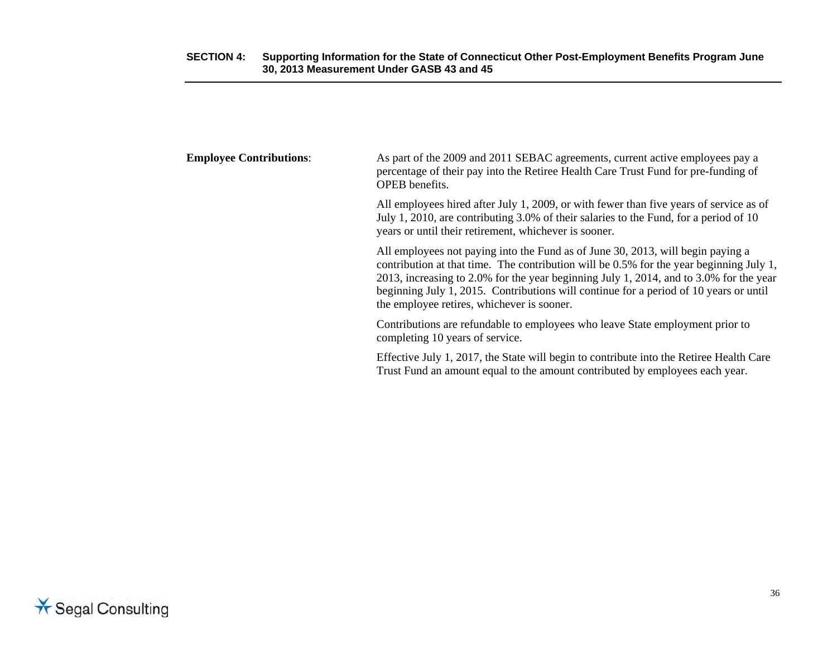| <b>Employee Contributions:</b> | As part of the 2009 and 2011 SEBAC agreements, current active employees pay a<br>percentage of their pay into the Retiree Health Care Trust Fund for pre-funding of<br>OPEB benefits.                                                                                                                                                                                                                       |
|--------------------------------|-------------------------------------------------------------------------------------------------------------------------------------------------------------------------------------------------------------------------------------------------------------------------------------------------------------------------------------------------------------------------------------------------------------|
|                                | All employees hired after July 1, 2009, or with fewer than five years of service as of<br>July 1, 2010, are contributing 3.0% of their salaries to the Fund, for a period of 10<br>years or until their retirement, whichever is sooner.                                                                                                                                                                    |
|                                | All employees not paying into the Fund as of June 30, 2013, will begin paying a<br>contribution at that time. The contribution will be 0.5% for the year beginning July 1,<br>2013, increasing to 2.0% for the year beginning July 1, 2014, and to 3.0% for the year<br>beginning July 1, 2015. Contributions will continue for a period of 10 years or until<br>the employee retires, whichever is sooner. |
|                                | Contributions are refundable to employees who leave State employment prior to<br>completing 10 years of service.                                                                                                                                                                                                                                                                                            |
|                                | Effective July 1, 2017, the State will begin to contribute into the Retiree Health Care<br>Trust Fund an amount equal to the amount contributed by employees each year.                                                                                                                                                                                                                                     |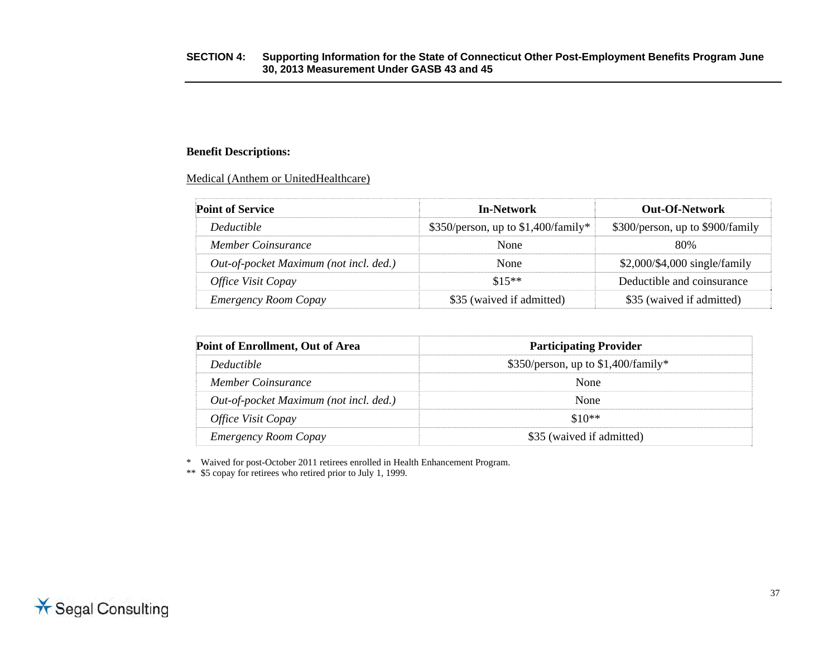### **Benefit Descriptions:**

Medical (Anthem or UnitedHealthcare)

| <b>Point of Service</b>                | In-Network                            | Out-Of-Network                   |
|----------------------------------------|---------------------------------------|----------------------------------|
| <i>Deductible</i>                      | $$350/person$ , up to \$1,400/family* | \$300/person, up to \$900/family |
| Member Coinsurance                     | <b>None</b>                           | 80%                              |
| Out-of-pocket Maximum (not incl. ded.) | None                                  | \$2,000/\$4,000 single/family    |
| <i><b>Office Visit Copay</b></i>       | $$15**$                               | Deductible and coinsurance       |
| <b>Emergency Room Copay</b>            | \$35 (waived if admitted)             | \$35 (waived if admitted)        |

| Point of Enrollment, Out of Area       | <b>Participating Provider</b>         |
|----------------------------------------|---------------------------------------|
| <i>Deductible</i>                      | $$350/person$ , up to \$1,400/family* |
| Member Coinsurance                     | <b>None</b>                           |
| Out-of-pocket Maximum (not incl. ded.) | None                                  |
| <i><b>Office Visit Copay</b></i>       | $$10**$                               |
| <b>Emergency Room Copay</b>            | \$35 (waived if admitted)             |

\* Waived for post-October 2011 retirees enrolled in Health Enhancement Program.

\*\* \$5 copay for retirees who retired prior to July 1, 1999.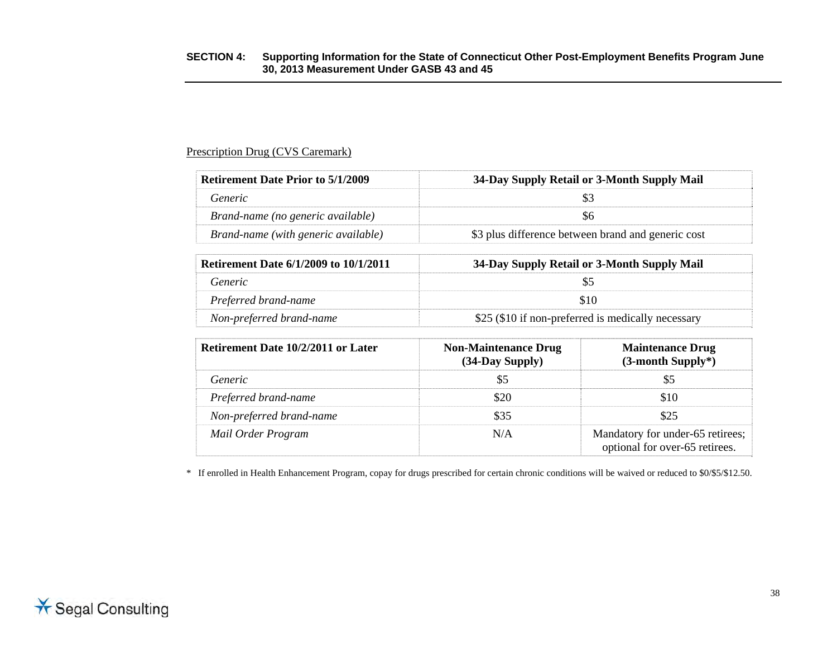### Prescription Drug (CVS Caremark)

| <b>Retirement Date Prior to 5/1/2009</b> | 34-Day Supply Retail or 3-Month Supply Mail        |
|------------------------------------------|----------------------------------------------------|
| Generic                                  |                                                    |
| Brand-name (no generic available)        |                                                    |
| Brand-name (with generic available)      | \$3 plus difference between brand and generic cost |

| <b>Retirement Date 6/1/2009 to 10/1/2011</b> | 34-Day Supply Retail or 3-Month Supply Mail        |
|----------------------------------------------|----------------------------------------------------|
| Generic                                      |                                                    |
| Preferred brand-name                         |                                                    |
| Non-preferred brand-name                     | \$25 (\$10 if non-preferred is medically necessary |

| <b>Retirement Date 10/2/2011 or Later</b> | <b>Non-Maintenance Drug</b><br>$(34$ -Day Supply $)$ | <b>Maintenance Drug</b><br>(3-month Supply*)                       |
|-------------------------------------------|------------------------------------------------------|--------------------------------------------------------------------|
| Generic                                   |                                                      |                                                                    |
| Preferred brand-name                      |                                                      | 810                                                                |
| Non-preferred brand-name                  |                                                      | 825                                                                |
| Mail Order Program                        | N/A                                                  | Mandatory for under-65 retirees;<br>optional for over-65 retirees. |

\* If enrolled in Health Enhancement Program, copay for drugs prescribed for certain chronic conditions will be waived or reduced to \$0/\$5/\$12.50.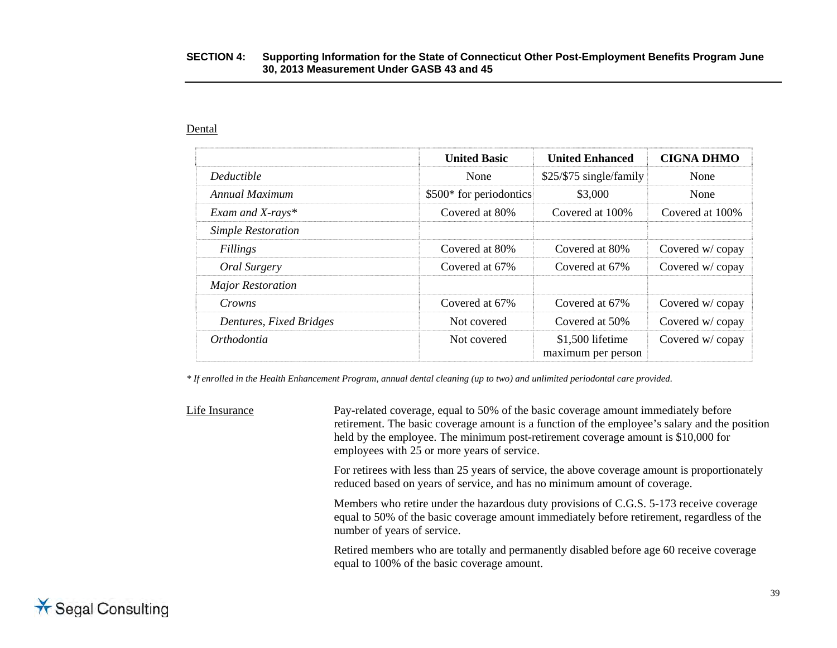#### Dental

|                           | <b>United Basic</b>     | <b>United Enhanced</b>                 | <b>CIGNA DHMO</b> |
|---------------------------|-------------------------|----------------------------------------|-------------------|
| Deductible                | None                    | \$25/\$75 single/family                | None              |
| Annual Maximum            | \$500* for periodontics | \$3,000                                | None              |
| Exam and X-rays*          | Covered at 80%          | Covered at 100%                        | Covered at 100%   |
| <b>Simple Restoration</b> |                         |                                        |                   |
| Fillings                  | Covered at 80%          | Covered at 80%                         | Covered w/copay   |
| Oral Surgery              | Covered at 67%          | Covered at 67%                         | Covered w/copay   |
| <b>Major Restoration</b>  |                         |                                        |                   |
| Crowns                    | Covered at 67%          | Covered at 67%                         | Covered w/copay   |
| Dentures, Fixed Bridges   | Not covered             | Covered at 50%                         | Covered w/copay   |
| Orthodontia               | Not covered             | \$1,500 lifetime<br>maximum per person | Covered w/copay   |

*\* If enrolled in the Health Enhancement Program, annual dental cleaning (up to two) and unlimited periodontal care provided.* 

Life Insurance Pay-related coverage, equal to 50% of the basic coverage amount immediately before retirement. The basic coverage amount is a function of the employee's salary and the position held by the employee. The minimum post-retirement coverage amount is \$10,000 for employees with 25 or more years of service. For retirees with less than 25 years of service, the above coverage amount is proportionately reduced based on years of service, and has no minimum amount of coverage. Members who retire under the hazardous duty provisions of C.G.S. 5-173 receive coverage equal to 50% of the basic coverage amount immediately before retirement, regardless of the number of years of service.

> Retired members who are totally and permanently disabled before age 60 receive coverage equal to 100% of the basic coverage amount.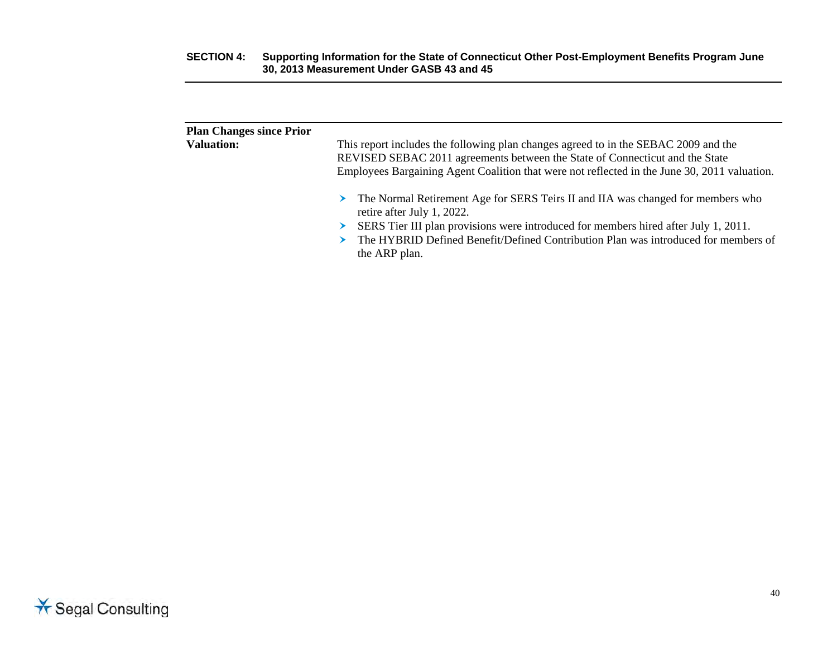| <b>Plan Changes since Prior</b><br><b>Valuation:</b> | This report includes the following plan changes agreed to in the SEBAC 2009 and the<br>REVISED SEBAC 2011 agreements between the State of Connecticut and the State<br>Employees Bargaining Agent Coalition that were not reflected in the June 30, 2011 valuation.                                              |
|------------------------------------------------------|------------------------------------------------------------------------------------------------------------------------------------------------------------------------------------------------------------------------------------------------------------------------------------------------------------------|
|                                                      | The Normal Retirement Age for SERS Teirs II and IIA was changed for members who<br>➤<br>retire after July 1, 2022.<br>SERS Tier III plan provisions were introduced for members hired after July 1, 2011.<br>The HYBRID Defined Benefit/Defined Contribution Plan was introduced for members of<br>the ARP plan. |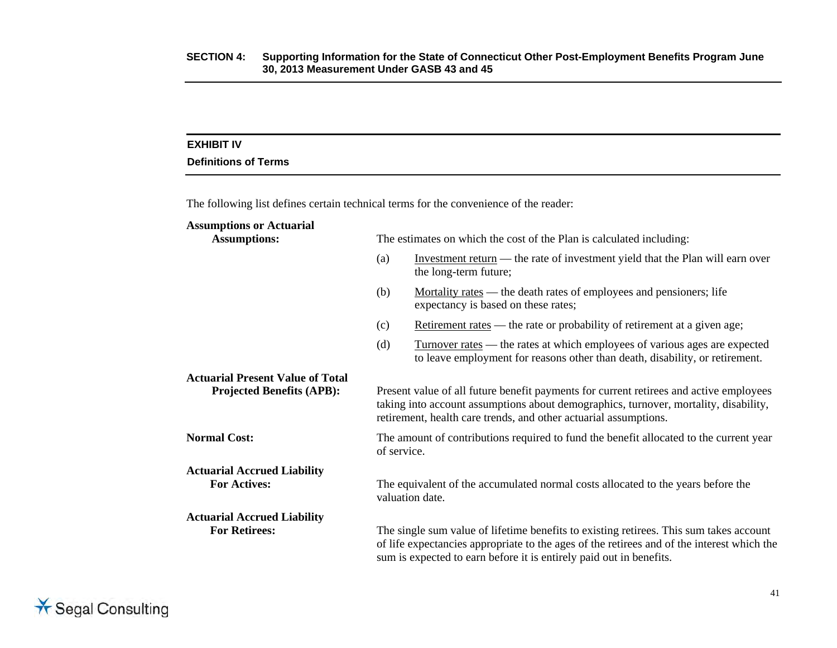### **EXHIBIT IV**

### **Definitions of Terms**

The following list defines certain technical terms for the convenience of the reader:

| <b>Assumptions or Actuarial</b>                                             |                                                                                                                                                                                                                                                             |                                                                                                                                                                   |  |
|-----------------------------------------------------------------------------|-------------------------------------------------------------------------------------------------------------------------------------------------------------------------------------------------------------------------------------------------------------|-------------------------------------------------------------------------------------------------------------------------------------------------------------------|--|
| <b>Assumptions:</b>                                                         |                                                                                                                                                                                                                                                             | The estimates on which the cost of the Plan is calculated including:                                                                                              |  |
|                                                                             | (a)                                                                                                                                                                                                                                                         | Investment return — the rate of investment yield that the Plan will earn over<br>the long-term future;                                                            |  |
|                                                                             | (b)                                                                                                                                                                                                                                                         | <u>Mortality</u> rates — the death rates of employees and pensioners; life<br>expectancy is based on these rates;                                                 |  |
|                                                                             | (c)                                                                                                                                                                                                                                                         | Retirement rates — the rate or probability of retirement at a given age;                                                                                          |  |
|                                                                             | (d)                                                                                                                                                                                                                                                         | <u>Turnover rates</u> — the rates at which employees of various ages are expected<br>to leave employment for reasons other than death, disability, or retirement. |  |
| <b>Actuarial Present Value of Total</b><br><b>Projected Benefits (APB):</b> | Present value of all future benefit payments for current retirees and active employees<br>taking into account assumptions about demographics, turnover, mortality, disability,<br>retirement, health care trends, and other actuarial assumptions.          |                                                                                                                                                                   |  |
| <b>Normal Cost:</b>                                                         | The amount of contributions required to fund the benefit allocated to the current year<br>of service.                                                                                                                                                       |                                                                                                                                                                   |  |
| <b>Actuarial Accrued Liability</b>                                          |                                                                                                                                                                                                                                                             |                                                                                                                                                                   |  |
| <b>For Actives:</b>                                                         | The equivalent of the accumulated normal costs allocated to the years before the<br>valuation date.                                                                                                                                                         |                                                                                                                                                                   |  |
| <b>Actuarial Accrued Liability</b>                                          |                                                                                                                                                                                                                                                             |                                                                                                                                                                   |  |
| <b>For Retirees:</b>                                                        | The single sum value of lifetime benefits to existing retirees. This sum takes account<br>of life expectancies appropriate to the ages of the retirees and of the interest which the<br>sum is expected to earn before it is entirely paid out in benefits. |                                                                                                                                                                   |  |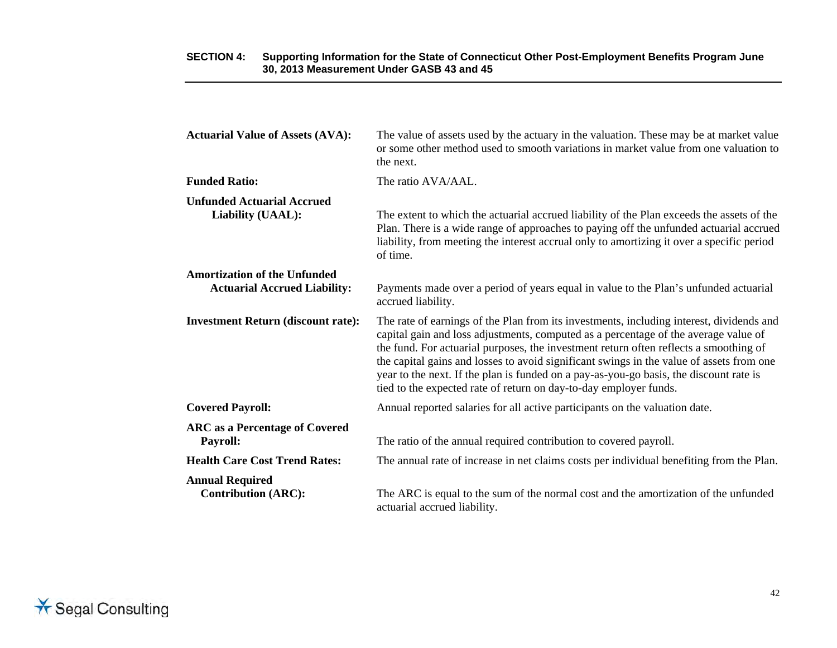| <b>Actuarial Value of Assets (AVA):</b>                                    | The value of assets used by the actuary in the valuation. These may be at market value<br>or some other method used to smooth variations in market value from one valuation to<br>the next.                                                                                                                                                                                                                                                                                                                                         |
|----------------------------------------------------------------------------|-------------------------------------------------------------------------------------------------------------------------------------------------------------------------------------------------------------------------------------------------------------------------------------------------------------------------------------------------------------------------------------------------------------------------------------------------------------------------------------------------------------------------------------|
| <b>Funded Ratio:</b>                                                       | The ratio AVA/AAL.                                                                                                                                                                                                                                                                                                                                                                                                                                                                                                                  |
| <b>Unfunded Actuarial Accrued</b><br>Liability (UAAL):                     | The extent to which the actuarial accrued liability of the Plan exceeds the assets of the<br>Plan. There is a wide range of approaches to paying off the unfunded actuarial accrued<br>liability, from meeting the interest accrual only to amortizing it over a specific period<br>of time.                                                                                                                                                                                                                                        |
| <b>Amortization of the Unfunded</b><br><b>Actuarial Accrued Liability:</b> | Payments made over a period of years equal in value to the Plan's unfunded actuarial<br>accrued liability.                                                                                                                                                                                                                                                                                                                                                                                                                          |
| <b>Investment Return (discount rate):</b>                                  | The rate of earnings of the Plan from its investments, including interest, dividends and<br>capital gain and loss adjustments, computed as a percentage of the average value of<br>the fund. For actuarial purposes, the investment return often reflects a smoothing of<br>the capital gains and losses to avoid significant swings in the value of assets from one<br>year to the next. If the plan is funded on a pay-as-you-go basis, the discount rate is<br>tied to the expected rate of return on day-to-day employer funds. |
| <b>Covered Payroll:</b>                                                    | Annual reported salaries for all active participants on the valuation date.                                                                                                                                                                                                                                                                                                                                                                                                                                                         |
| <b>ARC</b> as a Percentage of Covered<br><b>Payroll:</b>                   | The ratio of the annual required contribution to covered payroll.                                                                                                                                                                                                                                                                                                                                                                                                                                                                   |
| <b>Health Care Cost Trend Rates:</b>                                       | The annual rate of increase in net claims costs per individual benefiting from the Plan.                                                                                                                                                                                                                                                                                                                                                                                                                                            |
| <b>Annual Required</b><br><b>Contribution (ARC):</b>                       | The ARC is equal to the sum of the normal cost and the amortization of the unfunded<br>actuarial accrued liability.                                                                                                                                                                                                                                                                                                                                                                                                                 |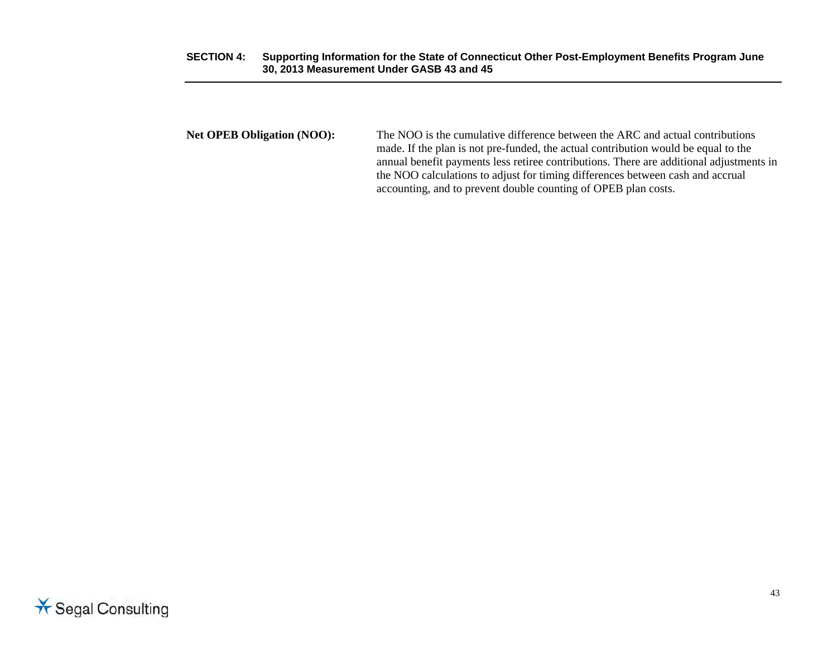**Net OPEB Obligation (NOO):** The NOO is the cumulative difference between the ARC and actual contributions made. If the plan is not pre-funded, the actual contribution would be equal to the annual benefit payments less retiree contributions. There are additional adjustments in the NOO calculations to adjust for timing differences between cash and accrual accounting, and to prevent double counting of OPEB plan costs.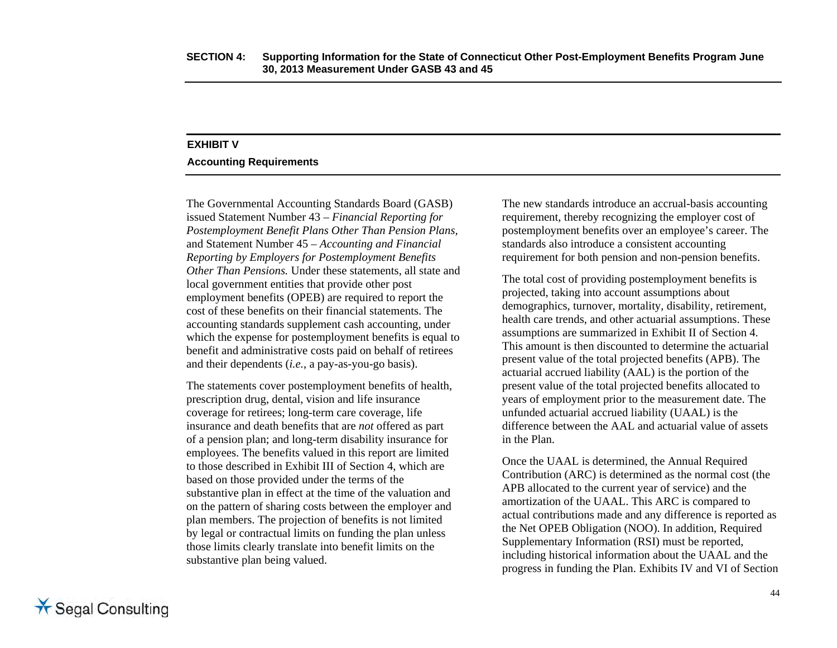## **EXHIBIT V**

### **Accounting Requirements**

The Governmental Accounting Standards Board (GASB) issued Statement Number 43 – *Financial Reporting for Postemployment Benefit Plans Other Than Pension Plans,*  and Statement Number 45 *– Accounting and Financial Reporting by Employers for Postemployment Benefits Other Than Pensions.* Under these statements, all state and local government entities that provide other post employment benefits (OPEB) are required to report the cost of these benefits on their financial statements. The accounting standards supplement cash accounting, under which the expense for postemployment benefits is equal to benefit and administrative costs paid on behalf of retirees and their dependents (*i.e.*, a pay-as-you-go basis).

The statements cover postemployment benefits of health, prescription drug, dental, vision and life insurance coverage for retirees; long-term care coverage, life insurance and death benefits that are *not* offered as part of a pension plan; and long-term disability insurance for employees. The benefits valued in this report are limited to those described in Exhibit III of Section 4, which are based on those provided under the terms of the substantive plan in effect at the time of the valuation and on the pattern of sharing costs between the employer and plan members. The projection of benefits is not limited by legal or contractual limits on funding the plan unless those limits clearly translate into benefit limits on the substantive plan being valued.

The new standards introduce an accrual-basis accounting requirement, thereby recognizing the employer cost of postemployment benefits over an employee's career. The standards also introduce a consistent accounting requirement for both pension and non-pension benefits.

The total cost of providing postemployment benefits is projected, taking into account assumptions about demographics, turnover, mortality, disability, retirement, health care trends, and other actuarial assumptions. These assumptions are summarized in Exhibit II of Section 4. This amount is then discounted to determine the actuarial present value of the total projected benefits (APB). The actuarial accrued liability (AAL) is the portion of the present value of the total projected benefits allocated to years of employment prior to the measurement date. The unfunded actuarial accrued liability (UAAL) is the difference between the AAL and actuarial value of assets in the Plan.

Once the UAAL is determined, the Annual Required Contribution (ARC) is determined as the normal cost (the APB allocated to the current year of service) and the amortization of the UAAL. This ARC is compared to actual contributions made and any difference is reported as the Net OPEB Obligation (NOO). In addition, Required Supplementary Information (RSI) must be reported, including historical information about the UAAL and the progress in funding the Plan. Exhibits IV and VI of Section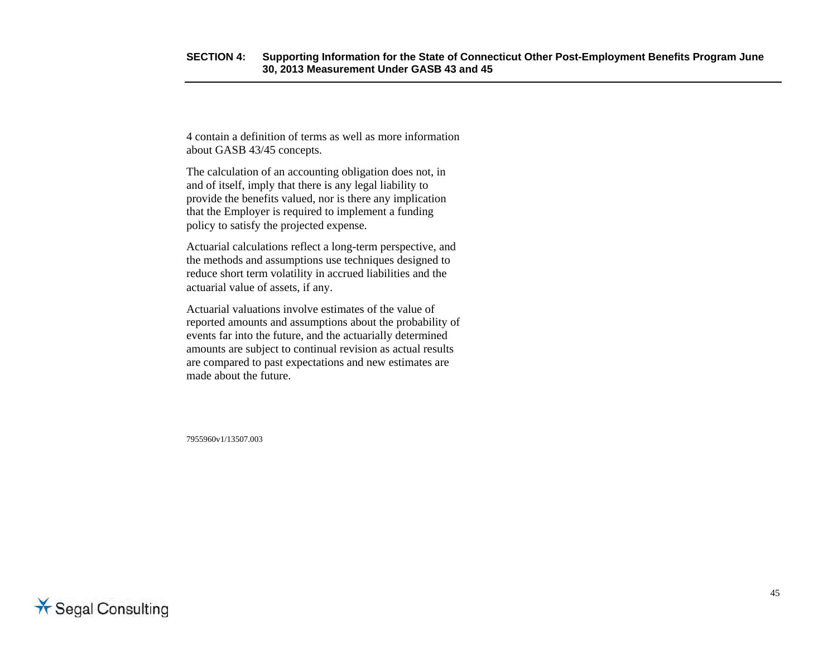4 contain a definition of terms as well as more information about GASB 43/45 concepts.

The calculation of an accounting obligation does not, in and of itself, imply that there is any legal liability to provide the benefits valued, nor is there any implication that the Employer is required to implement a funding policy to satisfy the projected expense.

Actuarial calculations reflect a long-term perspective, and the methods and assumptions use techniques designed to reduce short term volatility in accrued liabilities and the actuarial value of assets, if any.

Actuarial valuations involve estimates of the value of reported amounts and assumptions about the probability of events far into the future, and the actuarially determined amounts are subject to continual revision as actual results are compared to past expectations and new estimates are made about the future.

7955960v1/13507.003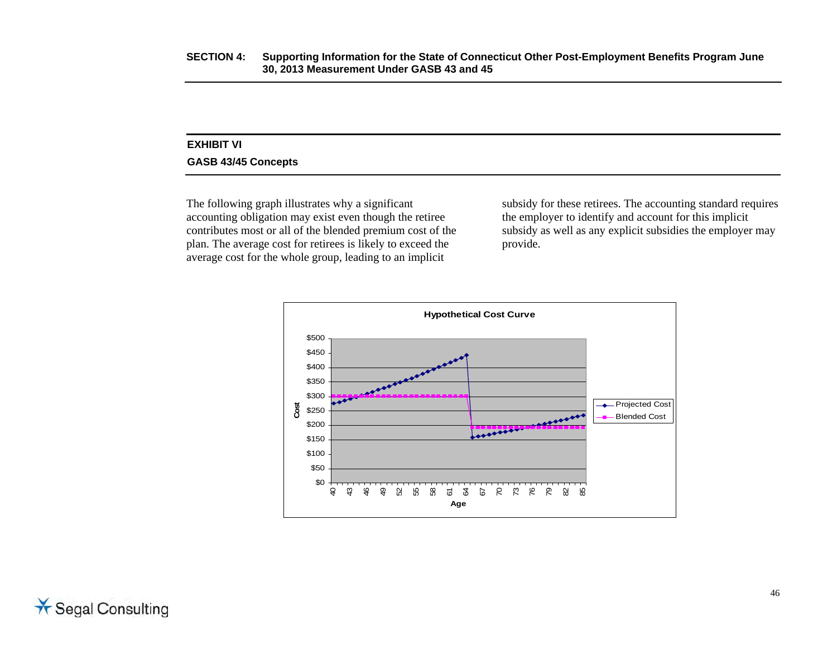### **EXHIBIT VI GASB 43/45 Concepts**

The following graph illustrates why a significant accounting obligation may exist even though the retiree contributes most or all of the blended premium cost of the plan. The average cost for retirees is likely to exceed the average cost for the whole group, leading to an implicit

subsidy for these retirees. The accounting standard requires the employer to identify and account for this implicit subsidy as well as any explicit subsidies the employer may provide.